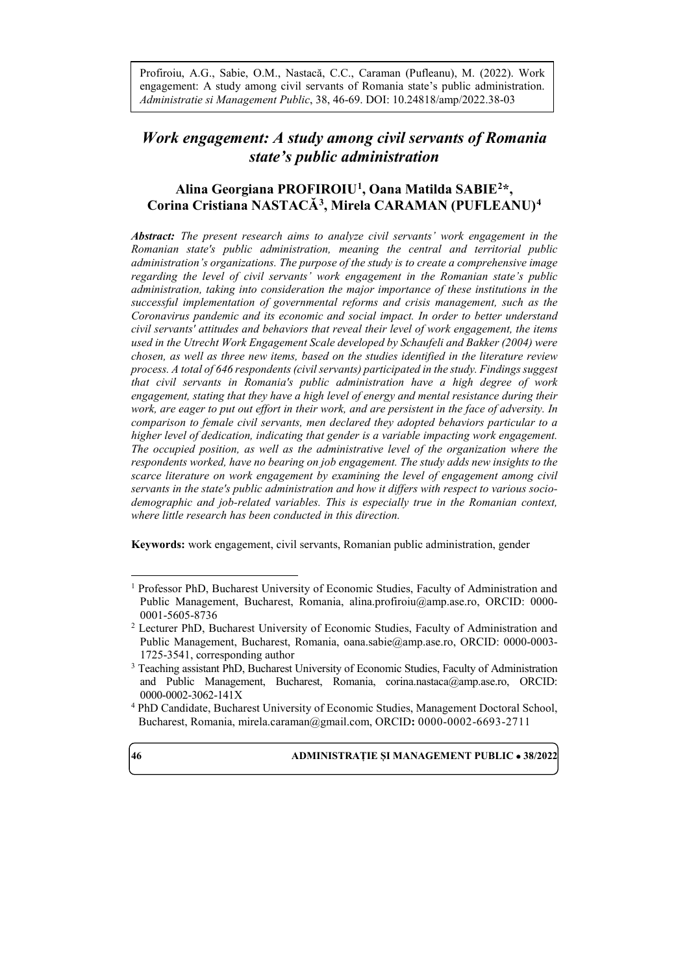Profiroiu, A.G., Sabie, O.M., Nastacă, C.C., Caraman (Pufleanu), M. (2022). Work engagement: A study among civil servants of Romania state's public administration. *Administratie si Management Public*, 38, 46-69. DOI: 10.24818/amp/2022.38-03

# *Work engagement: A study among civil servants of Romania state's public administration*

# **Alina Georgiana PROFIROIU[1](#page-0-0), Oana Matilda SABIE[2](#page-0-1)\*, Corina Cristiana NASTACĂ[3](#page-0-2), Mirela CARAMAN (PUFLEANU)[4](#page-0-3)**

*Abstract: The present research aims to analyze civil servants' work engagement in the Romanian state's public administration, meaning the central and territorial public administration's organizations. The purpose of the study is to create a comprehensive image regarding the level of civil servants' work engagement in the Romanian state's public administration, taking into consideration the major importance of these institutions in the successful implementation of governmental reforms and crisis management, such as the Coronavirus pandemic and its economic and social impact. In order to better understand civil servants' attitudes and behaviors that reveal their level of work engagement, the items used in the Utrecht Work Engagement Scale developed by Schaufeli and Bakker (2004) were chosen, as well as three new items, based on the studies identified in the literature review process. A total of 646 respondents (civil servants) participated in the study. Findings suggest that civil servants in Romania's public administration have a high degree of work engagement, stating that they have a high level of energy and mental resistance during their work, are eager to put out effort in their work, and are persistent in the face of adversity. In comparison to female civil servants, men declared they adopted behaviors particular to a higher level of dedication, indicating that gender is a variable impacting work engagement. The occupied position, as well as the administrative level of the organization where the respondents worked, have no bearing on job engagement. The study adds new insights to the scarce literature on work engagement by examining the level of engagement among civil servants in the state's public administration and how it differs with respect to various sociodemographic and job-related variables. This is especially true in the Romanian context, where little research has been conducted in this direction.*

**Keywords:** work engagement, civil servants, Romanian public administration, gender

<span id="page-0-3"></span><sup>4</sup> PhD Candidate, Bucharest University of Economic Studies, Management Doctoral School, Bucharest, Romania, [mirela.caraman@gmail.com,](mailto:mirela.caraman@gmail.com) ORCID**:** 0000-0002-6693-2711



 $\overline{a}$ 

<span id="page-0-0"></span><sup>&</sup>lt;sup>1</sup> Professor PhD, Bucharest University of Economic Studies, Faculty of Administration and Public Management, Bucharest, Romania, [alina.profiroiu@amp.ase.ro,](mailto:alina.profiroiu@amp.ase.ro) ORCID: 0000- 0001-5605-8736

<span id="page-0-1"></span><sup>2</sup> Lecturer PhD, Bucharest University of Economic Studies, Faculty of Administration and Public Management, Bucharest, Romania, [oana.sabie@amp.ase.ro,](mailto:oana.sabie@amp.ase.ro) ORCID: [0000-0003-](https://orcid.org/0000-0003-1725-3541) [1725-3541,](https://orcid.org/0000-0003-1725-3541) corresponding author

<span id="page-0-2"></span><sup>&</sup>lt;sup>3</sup> Teaching assistant PhD, Bucharest University of Economic Studies, Faculty of Administration and Public Management, Bucharest, Romania, [corina.nastaca@amp.ase.ro,](mailto:corina.nastaca@amp.ase.ro) ORCID: 0000-0002-3062-141X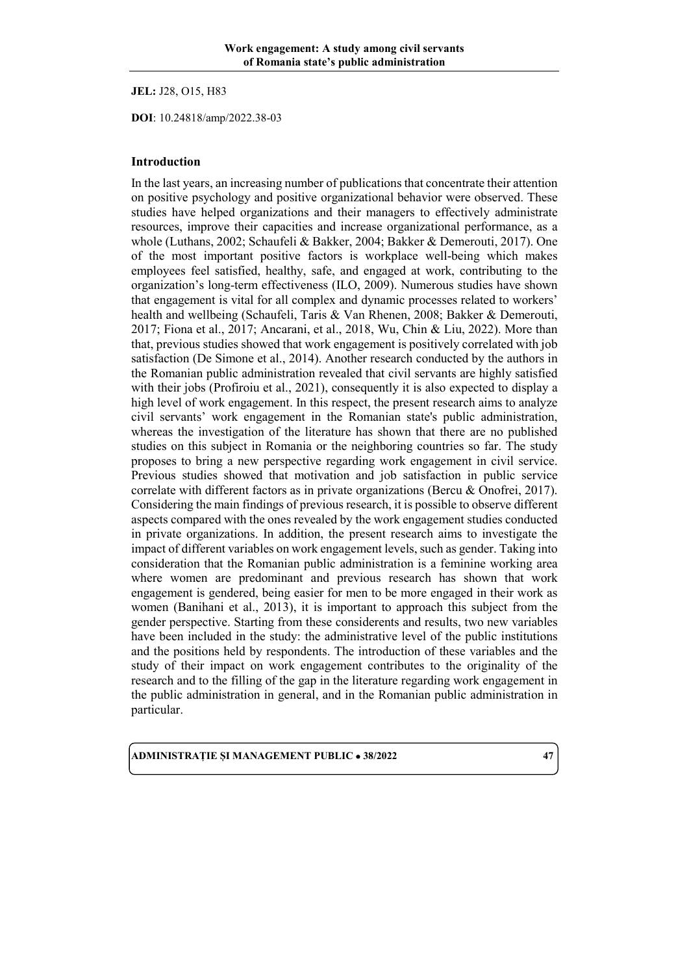**JEL:** J28, O15, H83

**DOI**: 10.24818/amp/2022.38-03

#### **Introduction**

In the last years, an increasing number of publications that concentrate their attention on positive psychology and positive organizational behavior were observed. These studies have helped organizations and their managers to effectively administrate resources, improve their capacities and increase organizational performance, as a whole (Luthans, 2002; Schaufeli & Bakker, 2004; Bakker & Demerouti, 2017). One of the most important positive factors is workplace well-being which makes employees feel satisfied, healthy, safe, and engaged at work, contributing to the organization's long-term effectiveness (ILO, 2009). Numerous studies have shown that engagement is vital for all complex and dynamic processes related to workers' health and wellbeing (Schaufeli, Taris & Van Rhenen, 2008; Bakker & Demerouti, 2017; Fiona et al., 2017; Ancarani, et al., 2018, Wu, Chin & Liu, 2022). More than that, previous studies showed that work engagement is positively correlated with job satisfaction (De Simone et al., 2014). Another research conducted by the authors in the Romanian public administration revealed that civil servants are highly satisfied with their jobs (Profiroiu et al., 2021), consequently it is also expected to display a high level of work engagement. In this respect, the present research aims to analyze civil servants' work engagement in the Romanian state's public administration, whereas the investigation of the literature has shown that there are no published studies on this subject in Romania or the neighboring countries so far. The study proposes to bring a new perspective regarding work engagement in civil service. Previous studies showed that motivation and job satisfaction in public service correlate with different factors as in private organizations (Bercu & Onofrei, 2017). Considering the main findings of previous research, it is possible to observe different aspects compared with the ones revealed by the work engagement studies conducted in private organizations. In addition, the present research aims to investigate the impact of different variables on work engagement levels, such as gender. Taking into consideration that the Romanian public administration is a feminine working area where women are predominant and previous research has shown that work engagement is gendered, being easier for men to be more engaged in their work as women (Banihani et al., 2013), it is important to approach this subject from the gender perspective. Starting from these considerents and results, two new variables have been included in the study: the administrative level of the public institutions and the positions held by respondents. The introduction of these variables and the study of their impact on work engagement contributes to the originality of the research and to the filling of the gap in the literature regarding work engagement in the public administration in general, and in the Romanian public administration in particular.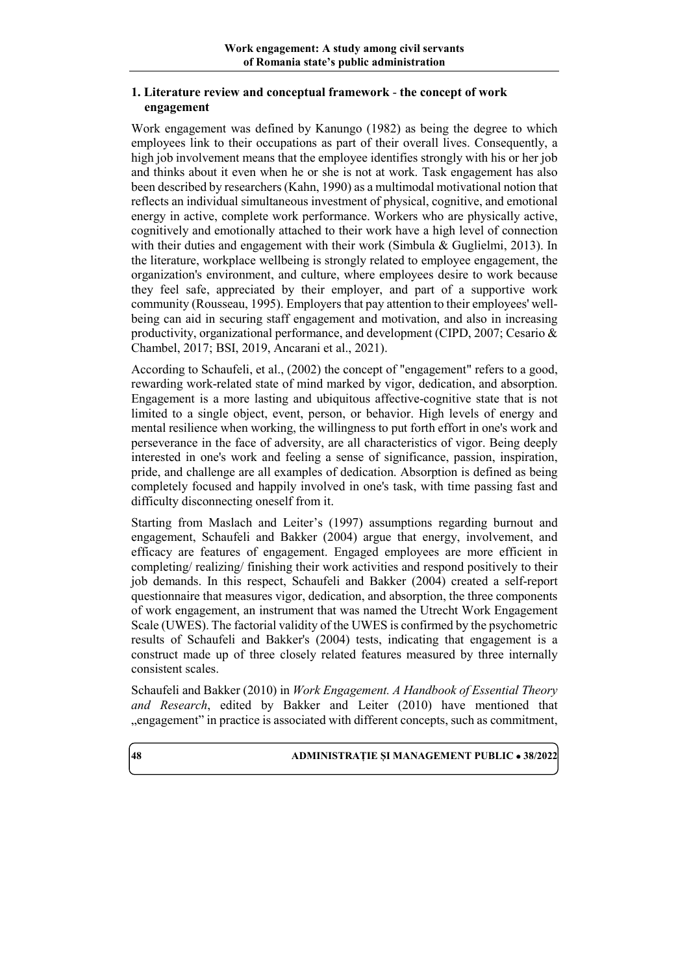# **1. Literature review and conceptual framework** - **the concept of work engagement**

Work engagement was defined by Kanungo (1982) as being the degree to which employees link to their occupations as part of their overall lives. Consequently, a high job involvement means that the employee identifies strongly with his or her job and thinks about it even when he or she is not at work. Task engagement has also been described by researchers (Kahn, 1990) as a multimodal motivational notion that reflects an individual simultaneous investment of physical, cognitive, and emotional energy in active, complete work performance. Workers who are physically active, cognitively and emotionally attached to their work have a high level of connection with their duties and engagement with their work (Simbula & Guglielmi, 2013). In the literature, workplace wellbeing is strongly related to employee engagement, the organization's environment, and culture, where employees desire to work because they feel safe, appreciated by their employer, and part of a supportive work community (Rousseau, 1995). Employers that pay attention to their employees' wellbeing can aid in securing staff engagement and motivation, and also in increasing productivity, organizational performance, and development (CIPD, 2007; Cesario & Chambel, 2017; BSI, 2019, Ancarani et al., 2021).

According to Schaufeli, et al., (2002) the concept of "engagement" refers to a good, rewarding work-related state of mind marked by vigor, dedication, and absorption. Engagement is a more lasting and ubiquitous affective-cognitive state that is not limited to a single object, event, person, or behavior. High levels of energy and mental resilience when working, the willingness to put forth effort in one's work and perseverance in the face of adversity, are all characteristics of vigor. Being deeply interested in one's work and feeling a sense of significance, passion, inspiration, pride, and challenge are all examples of dedication. Absorption is defined as being completely focused and happily involved in one's task, with time passing fast and difficulty disconnecting oneself from it.

Starting from Maslach and Leiter's (1997) assumptions regarding burnout and engagement, Schaufeli and Bakker (2004) argue that energy, involvement, and efficacy are features of engagement. Engaged employees are more efficient in completing/ realizing/ finishing their work activities and respond positively to their job demands. In this respect, Schaufeli and Bakker (2004) created a self-report questionnaire that measures vigor, dedication, and absorption, the three components of work engagement, an instrument that was named the Utrecht Work Engagement Scale (UWES). The factorial validity of the UWES is confirmed by the psychometric results of Schaufeli and Bakker's (2004) tests, indicating that engagement is a construct made up of three closely related features measured by three internally consistent scales.

Schaufeli and Bakker (2010) in *Work Engagement. A Handbook of Essential Theory and Research*, edited by Bakker and Leiter (2010) have mentioned that "engagement" in practice is associated with different concepts, such as commitment,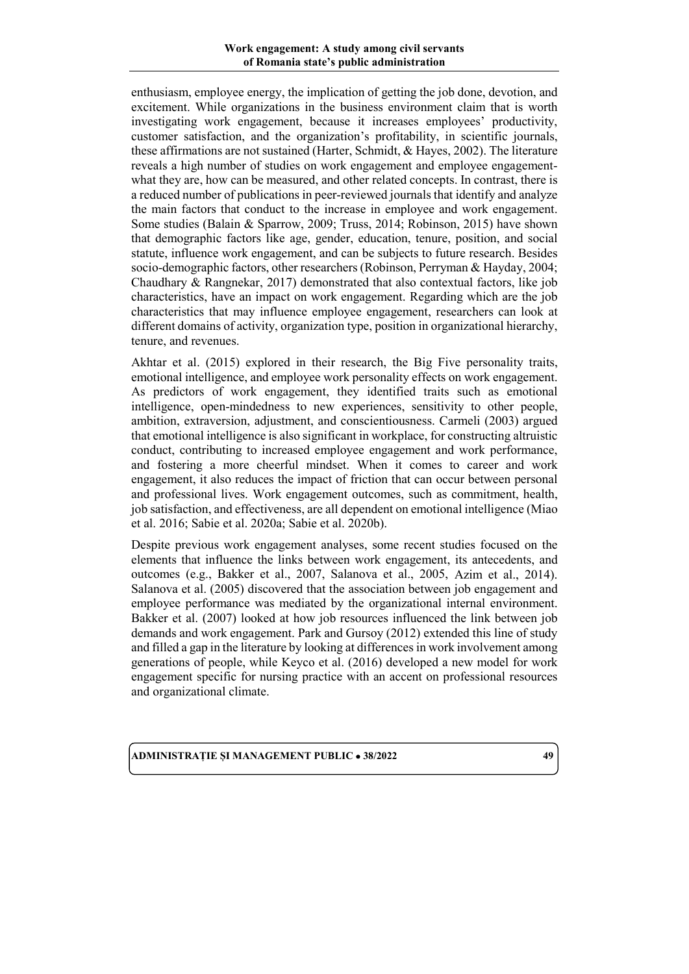enthusiasm, employee energy, the implication of getting the job done, devotion, and excitement. While organizations in the business environment claim that is worth investigating work engagement, because it increases employees' productivity, customer satisfaction, and the organization's profitability, in scientific journals, these affirmations are not sustained (Harter, Schmidt, & Hayes, 2002). The literature reveals a high number of studies on work engagement and employee engagementwhat they are, how can be measured, and other related concepts. In contrast, there is a reduced number of publications in peer-reviewed journals that identify and analyze the main factors that conduct to the increase in employee and work engagement. Some studies (Balain & Sparrow, 2009; Truss, 2014; Robinson, 2015) have shown that demographic factors like age, gender, education, tenure, position, and social statute, influence work engagement, and can be subjects to future research. Besides socio-demographic factors, other researchers (Robinson, Perryman & Hayday, 2004; Chaudhary & Rangnekar, 2017) demonstrated that also contextual factors, like job characteristics, have an impact on work engagement. Regarding which are the job characteristics that may influence employee engagement, researchers can look at different domains of activity, organization type, position in organizational hierarchy, tenure, and revenues.

Akhtar et al. (2015) explored in their research, the Big Five personality traits, emotional intelligence, and employee work personality effects on work engagement. As predictors of work engagement, they identified traits such as emotional intelligence, open-mindedness to new experiences, sensitivity to other people, ambition, extraversion, adjustment, and conscientiousness. Carmeli (2003) argued that emotional intelligence is also significant in workplace, for constructing altruistic conduct, contributing to increased employee engagement and work performance, and fostering a more cheerful mindset. When it comes to career and work engagement, it also reduces the impact of friction that can occur between personal and professional lives. Work engagement outcomes, such as commitment, health, job satisfaction, and effectiveness, are all dependent on emotional intelligence (Miao et al. 2016; Sabie et al. 2020a; Sabie et al. 2020b).

Despite previous work engagement analyses, some recent studies focused on the elements that influence the links between work engagement, its antecedents, and outcomes (e.g., Bakker et al., 2007, Salanova et al., 2005, Azim et al., 2014). Salanova et al. (2005) discovered that the association between job engagement and employee performance was mediated by the organizational internal environment. Bakker et al. (2007) looked at how job resources influenced the link between job demands and work engagement. Park and Gursoy (2012) extended this line of study and filled a gap in the literature by looking at differences in work involvement among generations of people, while Keyco et al. (2016) developed a new model for work engagement specific for nursing practice with an accent on professional resources and organizational climate.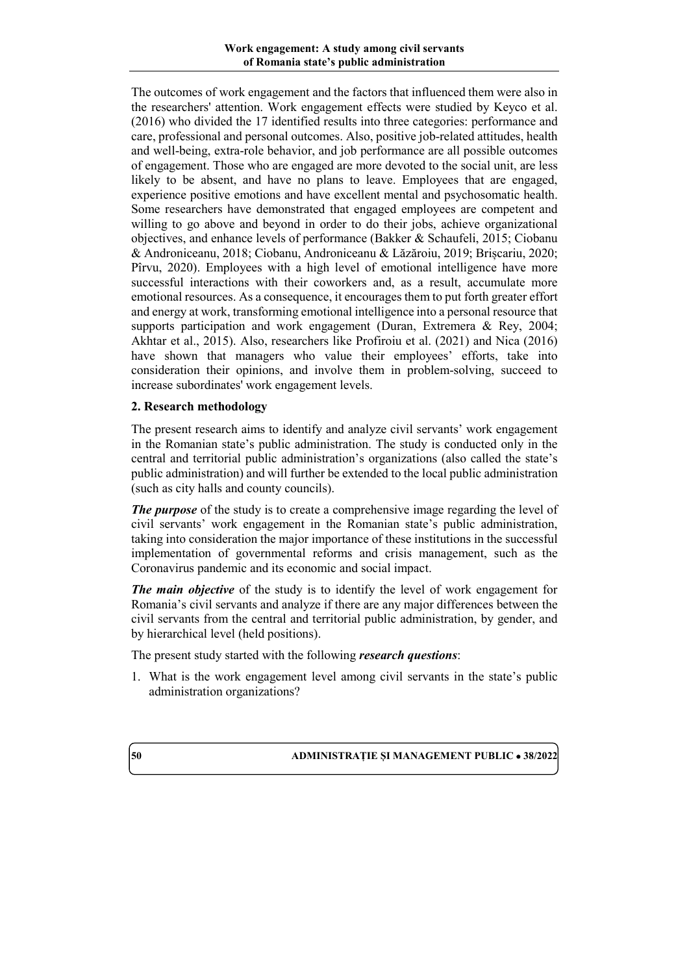The outcomes of work engagement and the factors that influenced them were also in the researchers' attention. Work engagement effects were studied by Keyco et al. (2016) who divided the 17 identified results into three categories: performance and care, professional and personal outcomes. Also, positive job-related attitudes, health and well-being, extra-role behavior, and job performance are all possible outcomes of engagement. Those who are engaged are more devoted to the social unit, are less likely to be absent, and have no plans to leave. Employees that are engaged, experience positive emotions and have excellent mental and psychosomatic health. Some researchers have demonstrated that engaged employees are competent and willing to go above and beyond in order to do their jobs, achieve organizational objectives, and enhance levels of performance (Bakker & Schaufeli, 2015; Ciobanu & Androniceanu, 2018; Ciobanu, Androniceanu & Lăzăroiu, 2019; Brișcariu, 2020; Pîrvu, 2020). Employees with a high level of emotional intelligence have more successful interactions with their coworkers and, as a result, accumulate more emotional resources. As a consequence, it encourages them to put forth greater effort and energy at work, transforming emotional intelligence into a personal resource that supports participation and work engagement (Duran, Extremera & Rey, 2004; Akhtar et al., 2015). Also, researchers like Profiroiu et al. (2021) and Nica (2016) have shown that managers who value their employees' efforts, take into consideration their opinions, and involve them in problem-solving, succeed to increase subordinates' work engagement levels.

# **2. Research methodology**

The present research aims to identify and analyze civil servants' work engagement in the Romanian state's public administration. The study is conducted only in the central and territorial public administration's organizations (also called the state's public administration) and will further be extended to the local public administration (such as city halls and county councils).

*The purpose* of the study is to create a comprehensive image regarding the level of civil servants' work engagement in the Romanian state's public administration, taking into consideration the major importance of these institutions in the successful implementation of governmental reforms and crisis management, such as the Coronavirus pandemic and its economic and social impact.

*The main objective* of the study is to identify the level of work engagement for Romania's civil servants and analyze if there are any major differences between the civil servants from the central and territorial public administration, by gender, and by hierarchical level (held positions).

The present study started with the following *research questions*:

1. What is the work engagement level among civil servants in the state's public administration organizations?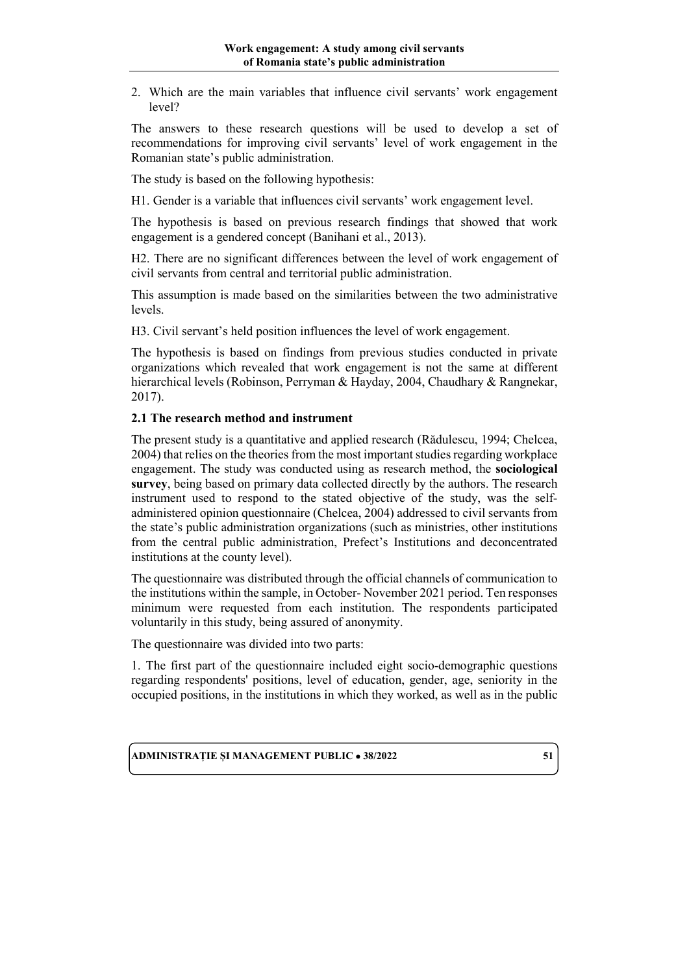2. Which are the main variables that influence civil servants' work engagement level?

The answers to these research questions will be used to develop a set of recommendations for improving civil servants' level of work engagement in the Romanian state's public administration.

The study is based on the following hypothesis:

H1. Gender is a variable that influences civil servants' work engagement level.

The hypothesis is based on previous research findings that showed that work engagement is a gendered concept (Banihani et al., 2013).

H2. There are no significant differences between the level of work engagement of civil servants from central and territorial public administration.

This assumption is made based on the similarities between the two administrative levels.

H3. Civil servant's held position influences the level of work engagement.

The hypothesis is based on findings from previous studies conducted in private organizations which revealed that work engagement is not the same at different hierarchical levels (Robinson, Perryman & Hayday, 2004, Chaudhary & Rangnekar, 2017).

### **2.1 The research method and instrument**

The present study is a quantitative and applied research (Rădulescu, 1994; Chelcea, 2004) that relies on the theories from the most important studies regarding workplace engagement. The study was conducted using as research method, the **sociological survey**, being based on primary data collected directly by the authors. The research instrument used to respond to the stated objective of the study, was the selfadministered opinion questionnaire (Chelcea, 2004) addressed to civil servants from the state's public administration organizations (such as ministries, other institutions from the central public administration, Prefect's Institutions and deconcentrated institutions at the county level).

The questionnaire was distributed through the official channels of communication to the institutions within the sample, in October- November 2021 period. Ten responses minimum were requested from each institution. The respondents participated voluntarily in this study, being assured of anonymity.

The questionnaire was divided into two parts:

1. The first part of the questionnaire included eight socio-demographic questions regarding respondents' positions, level of education, gender, age, seniority in the occupied positions, in the institutions in which they worked, as well as in the public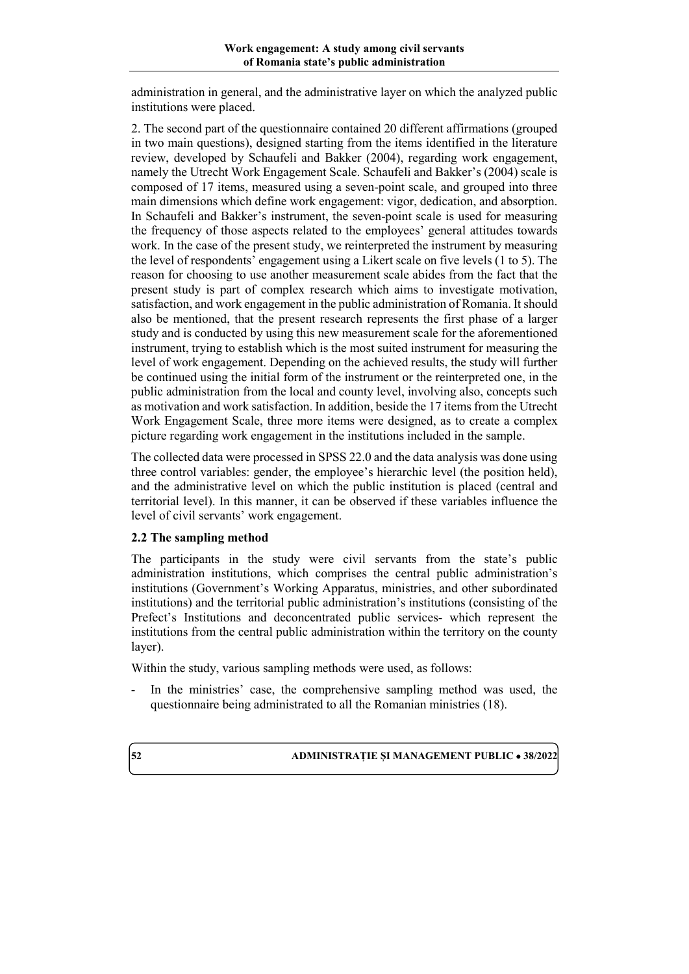administration in general, and the administrative layer on which the analyzed public institutions were placed.

2. The second part of the questionnaire contained 20 different affirmations (grouped in two main questions), designed starting from the items identified in the literature review, developed by Schaufeli and Bakker (2004), regarding work engagement, namely the Utrecht Work Engagement Scale. Schaufeli and Bakker's (2004) scale is composed of 17 items, measured using a seven-point scale, and grouped into three main dimensions which define work engagement: vigor, dedication, and absorption. In Schaufeli and Bakker's instrument, the seven-point scale is used for measuring the frequency of those aspects related to the employees' general attitudes towards work. In the case of the present study, we reinterpreted the instrument by measuring the level of respondents' engagement using a Likert scale on five levels (1 to 5). The reason for choosing to use another measurement scale abides from the fact that the present study is part of complex research which aims to investigate motivation, satisfaction, and work engagement in the public administration of Romania. It should also be mentioned, that the present research represents the first phase of a larger study and is conducted by using this new measurement scale for the aforementioned instrument, trying to establish which is the most suited instrument for measuring the level of work engagement. Depending on the achieved results, the study will further be continued using the initial form of the instrument or the reinterpreted one, in the public administration from the local and county level, involving also, concepts such as motivation and work satisfaction. In addition, beside the 17 items from the Utrecht Work Engagement Scale, three more items were designed, as to create a complex picture regarding work engagement in the institutions included in the sample.

The collected data were processed in SPSS 22.0 and the data analysis was done using three control variables: gender, the employee's hierarchic level (the position held), and the administrative level on which the public institution is placed (central and territorial level). In this manner, it can be observed if these variables influence the level of civil servants' work engagement.

# **2.2 The sampling method**

The participants in the study were civil servants from the state's public administration institutions, which comprises the central public administration's institutions (Government's Working Apparatus, ministries, and other subordinated institutions) and the territorial public administration's institutions (consisting of the Prefect's Institutions and deconcentrated public services- which represent the institutions from the central public administration within the territory on the county layer).

Within the study, various sampling methods were used, as follows:

- In the ministries' case, the comprehensive sampling method was used, the questionnaire being administrated to all the Romanian ministries (18).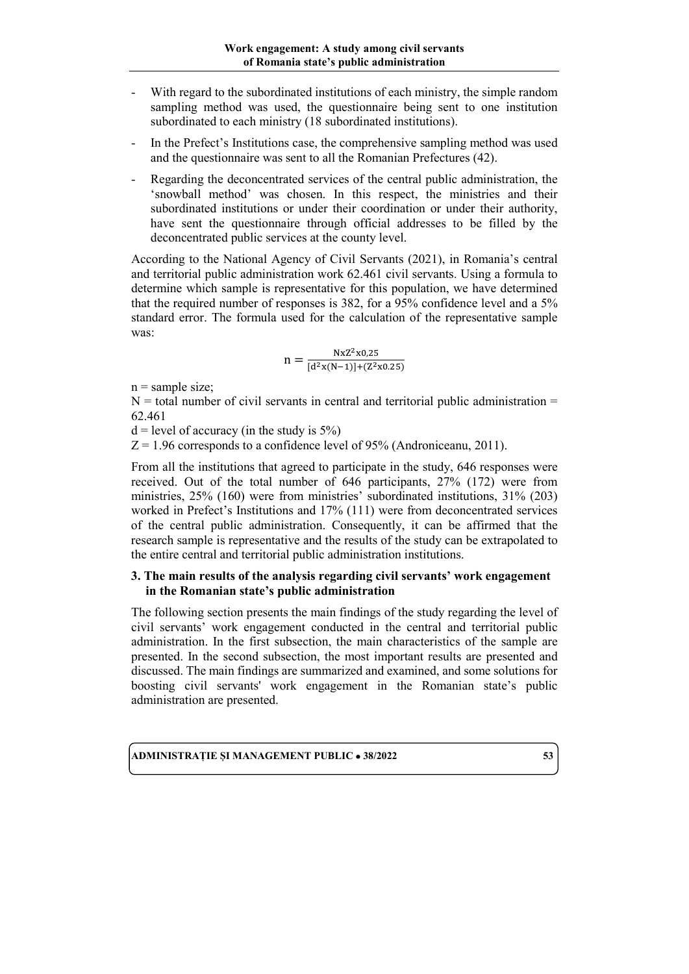- With regard to the subordinated institutions of each ministry, the simple random sampling method was used, the questionnaire being sent to one institution subordinated to each ministry (18 subordinated institutions).
- In the Prefect's Institutions case, the comprehensive sampling method was used and the questionnaire was sent to all the Romanian Prefectures (42).
- Regarding the deconcentrated services of the central public administration, the 'snowball method' was chosen. In this respect, the ministries and their subordinated institutions or under their coordination or under their authority, have sent the questionnaire through official addresses to be filled by the deconcentrated public services at the county level.

According to the National Agency of Civil Servants (2021), in Romania's central and territorial public administration work 62.461 civil servants. Using a formula to determine which sample is representative for this population, we have determined that the required number of responses is 382, for a 95% confidence level and a 5% standard error. The formula used for the calculation of the representative sample was:

$$
n = \frac{NxZ^2x0.25}{[d^2x(N-1)] + (Z^2x0.25)}
$$

 $n =$ sample size;

 $N =$  total number of civil servants in central and territorial public administration  $=$ 62.461

 $d = level of accuracy (in the study is 5%)$ 

 $Z = 1.96$  corresponds to a confidence level of 95% (Androniceanu, 2011).

From all the institutions that agreed to participate in the study, 646 responses were received. Out of the total number of 646 participants, 27% (172) were from ministries, 25% (160) were from ministries' subordinated institutions, 31% (203) worked in Prefect's Institutions and 17% (111) were from deconcentrated services of the central public administration. Consequently, it can be affirmed that the research sample is representative and the results of the study can be extrapolated to the entire central and territorial public administration institutions.

### **3. The main results of the analysis regarding civil servants' work engagement in the Romanian state's public administration**

The following section presents the main findings of the study regarding the level of civil servants' work engagement conducted in the central and territorial public administration. In the first subsection, the main characteristics of the sample are presented. In the second subsection, the most important results are presented and discussed. The main findings are summarized and examined, and some solutions for boosting civil servants' work engagement in the Romanian state's public administration are presented.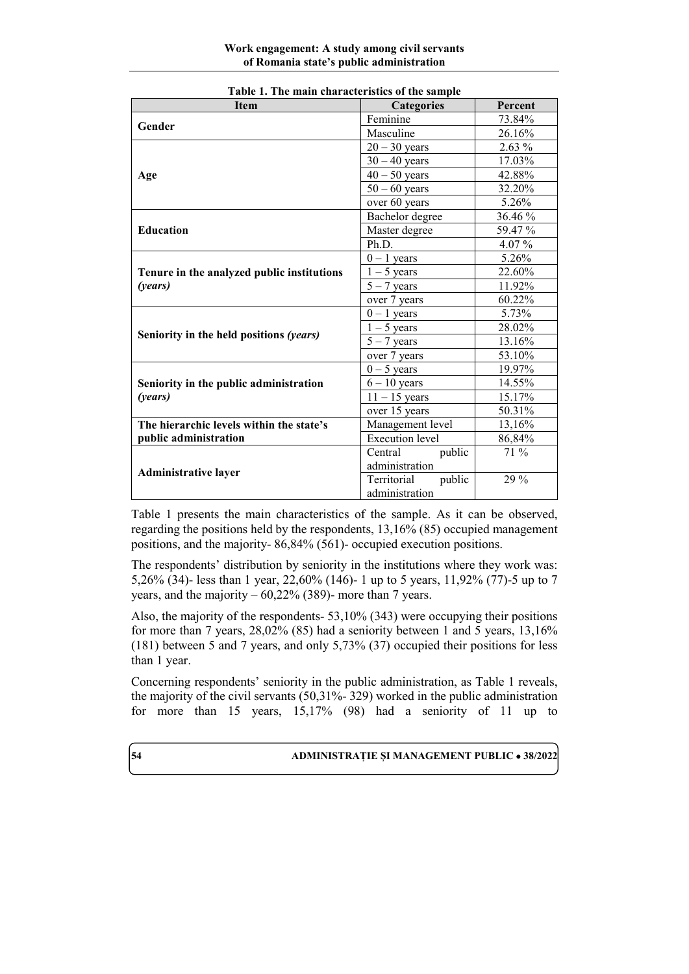| <b>Item</b>                                | <b>Categories</b>      | Percent  |
|--------------------------------------------|------------------------|----------|
| Gender                                     | Feminine               | 73.84%   |
|                                            | Masculine              | 26.16%   |
|                                            | $20 - 30$ years        | $2.63\%$ |
|                                            | $30 - 40$ years        | 17.03%   |
| Age                                        | $40 - 50$ years        | 42.88%   |
|                                            | $50 - 60$ years        | 32.20%   |
|                                            | over 60 years          | 5.26%    |
|                                            | Bachelor degree        | 36.46 %  |
| <b>Education</b>                           | Master degree          | 59.47%   |
|                                            | Ph.D.                  | 4.07 $%$ |
|                                            | $0 - 1$ years          | 5.26%    |
| Tenure in the analyzed public institutions | $1 - 5$ years          | 22.60%   |
| (years)                                    | $5 - 7$ years          | 11.92%   |
|                                            | over 7 years           | 60.22%   |
|                                            | $0 - 1$ years          | 5.73%    |
|                                            | $1 - 5$ years          | 28.02%   |
| Seniority in the held positions (years)    | $5 - 7$ years          | 13.16%   |
|                                            | over 7 years           | 53.10%   |
|                                            | $0 - 5$ years          | 19.97%   |
| Seniority in the public administration     | $6 - 10$ years         | 14.55%   |
| (years)                                    | $11 - 15$ years        | 15.17%   |
|                                            | over 15 years          | 50.31%   |
| The hierarchic levels within the state's   | Management level       | 13,16%   |
| public administration                      | <b>Execution</b> level | 86,84%   |
|                                            | Central<br>public      | 71 %     |
| <b>Administrative layer</b>                | administration         |          |
|                                            | Territorial<br>public  | 29 %     |
|                                            | administration         |          |

| Table 1. The main characteristics of the sample |  |
|-------------------------------------------------|--|
|-------------------------------------------------|--|

Table 1 presents the main characteristics of the sample. As it can be observed, regarding the positions held by the respondents, 13,16% (85) occupied management positions, and the majority- 86,84% (561)- occupied execution positions.

The respondents' distribution by seniority in the institutions where they work was: 5,26% (34)- less than 1 year, 22,60% (146)- 1 up to 5 years, 11,92% (77)-5 up to 7 years, and the majority  $-60,22\%$  (389)- more than 7 years.

Also, the majority of the respondents- 53,10% (343) were occupying their positions for more than 7 years, 28,02% (85) had a seniority between 1 and 5 years, 13,16% (181) between 5 and 7 years, and only 5,73% (37) occupied their positions for less than 1 year.

Concerning respondents' seniority in the public administration, as Table 1 reveals, the majority of the civil servants (50,31%- 329) worked in the public administration for more than 15 years, 15,17% (98) had a seniority of 11 up to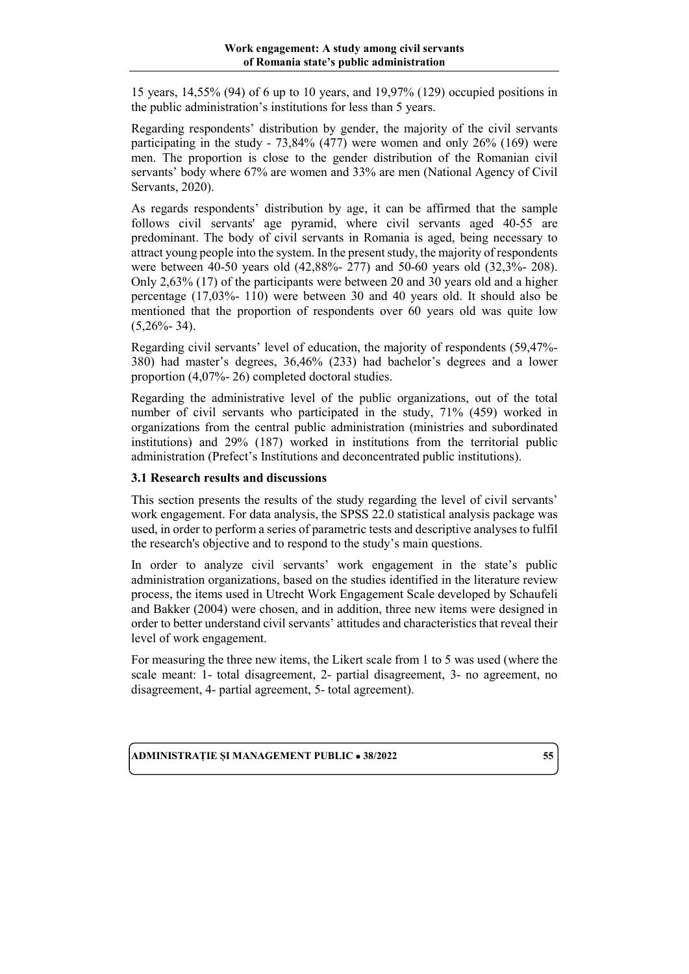15 years, 14,55% (94) of 6 up to 10 years, and 19,97% (129) occupied positions in the public administration's institutions for less than 5 years.

Regarding respondents' distribution by gender, the majority of the civil servants participating in the study - 73,84% (477) were women and only 26% (169) were men. The proportion is close to the gender distribution of the Romanian civil servants' body where 67% are women and 33% are men (National Agency of Civil Servants, 2020).

As regards respondents' distribution by age, it can be affirmed that the sample follows civil servants' age pyramid, where civil servants aged 40-55 are predominant. The body of civil servants in Romania is aged, being necessary to attract young people into the system. In the presentstudy, the majority of respondents were between 40-50 years old (42,88%- 277) and 50-60 years old (32,3%- 208). Only 2,63% (17) of the participants were between 20 and 30 years old and a higher percentage (17,03%- 110) were between 30 and 40 years old. It should also be mentioned that the proportion of respondents over 60 years old was quite low  $(5,26\% - 34)$ .

Regarding civil servants' level of education, the majority of respondents (59,47%- 380) had master's degrees, 36,46% (233) had bachelor's degrees and a lower proportion (4,07%- 26) completed doctoral studies.

Regarding the administrative level of the public organizations, out of the total number of civil servants who participated in the study, 71% (459) worked in organizations from the central public administration (ministries and subordinated institutions) and 29% (187) worked in institutions from the territorial public administration (Prefect's Institutions and deconcentrated public institutions).

# **3.1 Research results and discussions**

This section presents the results of the study regarding the level of civil servants' work engagement. For data analysis, the SPSS 22.0 statistical analysis package was used, in order to perform a series of parametric tests and descriptive analyses to fulfil the research's objective and to respond to the study's main questions.

In order to analyze civil servants' work engagement in the state's public administration organizations, based on the studies identified in the literature review process, the items used in Utrecht Work Engagement Scale developed by Schaufeli and Bakker (2004) were chosen, and in addition, three new items were designed in order to better understand civil servants' attitudes and characteristics that reveal their level of work engagement.

For measuring the three new items, the Likert scale from 1 to 5 was used (where the scale meant: 1- total disagreement, 2- partial disagreement, 3- no agreement, no disagreement, 4- partial agreement, 5- total agreement).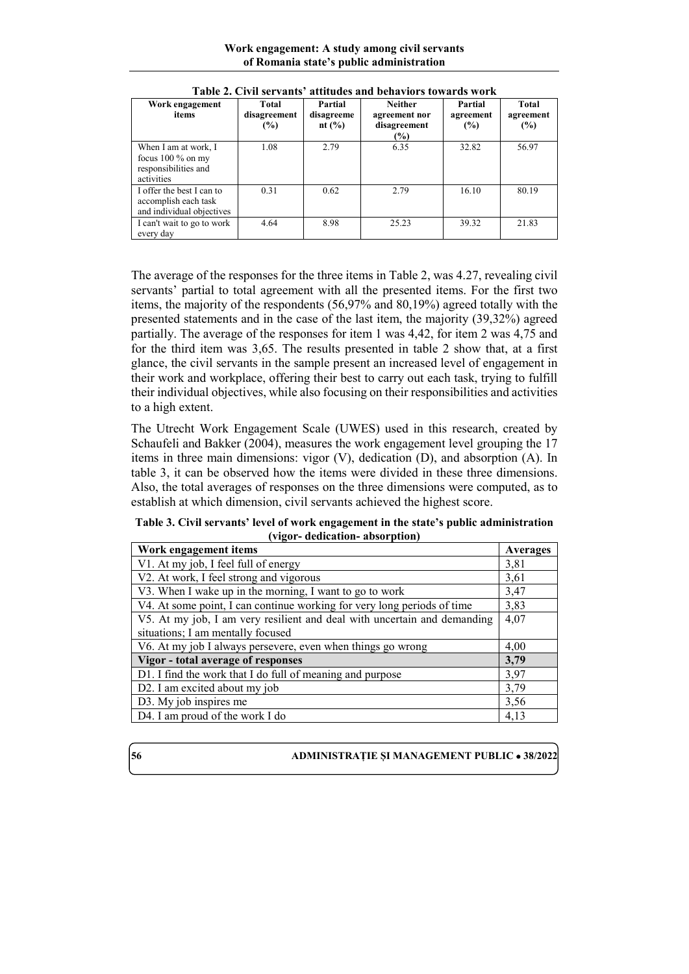**Work engagement: A study among civil servants of Romania state's public administration**

| Work engagement<br>items                                                          | Total<br>disagreement<br>$(\%)$ | Partial<br>disagreeme<br>nt $(\% )$ | <b>Neither</b><br>agreement nor<br>disagreement<br>$(\%)$ | Partial<br>agreement<br>(%) | Total<br>agreement<br>(%) |
|-----------------------------------------------------------------------------------|---------------------------------|-------------------------------------|-----------------------------------------------------------|-----------------------------|---------------------------|
| When I am at work, I<br>focus $100\%$ on my<br>responsibilities and<br>activities | 1.08                            | 2.79                                | 6.35                                                      | 32.82                       | 56.97                     |
| I offer the best I can to<br>accomplish each task<br>and individual objectives    | 0.31                            | 0.62                                | 2.79                                                      | 16.10                       | 80.19                     |
| I can't wait to go to work<br>every day                                           | 4.64                            | 8.98                                | 25.23                                                     | 39.32                       | 21.83                     |

**Table 2. Civil servants' attitudes and behaviors towards work** 

The average of the responses for the three items in Table 2, was 4.27, revealing civil servants' partial to total agreement with all the presented items. For the first two items, the majority of the respondents (56,97% and 80,19%) agreed totally with the presented statements and in the case of the last item, the majority (39,32%) agreed partially. The average of the responses for item 1 was 4,42, for item 2 was 4,75 and for the third item was 3,65. The results presented in table 2 show that, at a first glance, the civil servants in the sample present an increased level of engagement in their work and workplace, offering their best to carry out each task, trying to fulfill their individual objectives, while also focusing on their responsibilities and activities to a high extent.

The Utrecht Work Engagement Scale (UWES) used in this research, created by Schaufeli and Bakker (2004), measures the work engagement level grouping the 17 items in three main dimensions: vigor (V), dedication (D), and absorption (A). In table 3, it can be observed how the items were divided in these three dimensions. Also, the total averages of responses on the three dimensions were computed, as to establish at which dimension, civil servants achieved the highest score.

**Table 3. Civil servants' level of work engagement in the state's public administration (vigor- dedication- absorption)**

| Work engagement items                                                    | Averages |
|--------------------------------------------------------------------------|----------|
| V1. At my job, I feel full of energy                                     | 3,81     |
| V2. At work, I feel strong and vigorous                                  | 3,61     |
| V3. When I wake up in the morning, I want to go to work                  | 3,47     |
| V4. At some point, I can continue working for very long periods of time  | 3,83     |
| V5. At my job, I am very resilient and deal with uncertain and demanding | 4,07     |
| situations; I am mentally focused                                        |          |
| V6. At my job I always persevere, even when things go wrong              | 4,00     |
| Vigor - total average of responses                                       | 3,79     |
| D1. I find the work that I do full of meaning and purpose                | 3,97     |
| D2. I am excited about my job                                            | 3,79     |
| D3. My job inspires me                                                   | 3,56     |
| D4. I am proud of the work I do                                          | 4,13     |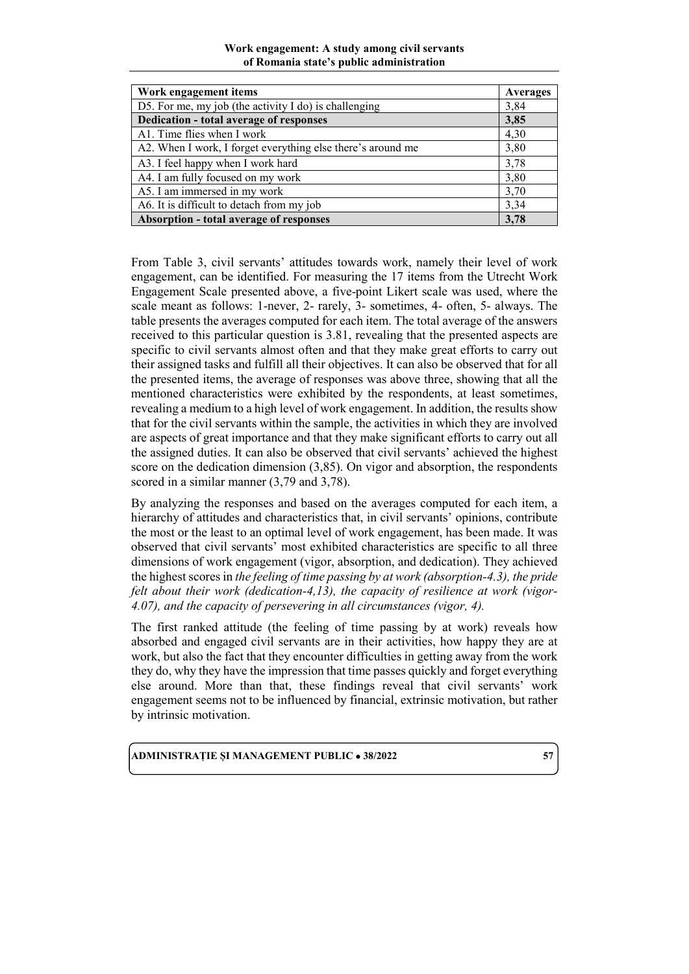#### **Work engagement: A study among civil servants of Romania state's public administration**

| Work engagement items                                       | Averages |
|-------------------------------------------------------------|----------|
| D5. For me, my job (the activity $I$ do) is challenging     | 3,84     |
| <b>Dedication - total average of responses</b>              | 3,85     |
| A1. Time flies when I work                                  | 4,30     |
| A2. When I work, I forget everything else there's around me | 3,80     |
| A3. I feel happy when I work hard                           | 3,78     |
| A4. I am fully focused on my work                           | 3,80     |
| A5. I am immersed in my work                                | 3,70     |
| A6. It is difficult to detach from my job                   | 3,34     |
| Absorption - total average of responses                     | 3,78     |

From Table 3, civil servants' attitudes towards work, namely their level of work engagement, can be identified. For measuring the 17 items from the Utrecht Work Engagement Scale presented above, a five-point Likert scale was used, where the scale meant as follows: 1-never, 2- rarely, 3- sometimes, 4- often, 5- always. The table presents the averages computed for each item. The total average of the answers received to this particular question is 3.81, revealing that the presented aspects are specific to civil servants almost often and that they make great efforts to carry out their assigned tasks and fulfill all their objectives. It can also be observed that for all the presented items, the average of responses was above three, showing that all the mentioned characteristics were exhibited by the respondents, at least sometimes, revealing a medium to a high level of work engagement. In addition, the results show that for the civil servants within the sample, the activities in which they are involved are aspects of great importance and that they make significant efforts to carry out all the assigned duties. It can also be observed that civil servants' achieved the highest score on the dedication dimension (3,85). On vigor and absorption, the respondents scored in a similar manner (3,79 and 3,78).

By analyzing the responses and based on the averages computed for each item, a hierarchy of attitudes and characteristics that, in civil servants' opinions, contribute the most or the least to an optimal level of work engagement, has been made. It was observed that civil servants' most exhibited characteristics are specific to all three dimensions of work engagement (vigor, absorption, and dedication). They achieved the highest scores in *the feeling of time passing by at work (absorption-4.3), the pride felt about their work (dedication-4,13), the capacity of resilience at work (vigor-4.07), and the capacity of persevering in all circumstances (vigor, 4).*

The first ranked attitude (the feeling of time passing by at work) reveals how absorbed and engaged civil servants are in their activities, how happy they are at work, but also the fact that they encounter difficulties in getting away from the work they do, why they have the impression that time passes quickly and forget everything else around. More than that, these findings reveal that civil servants' work engagement seems not to be influenced by financial, extrinsic motivation, but rather by intrinsic motivation.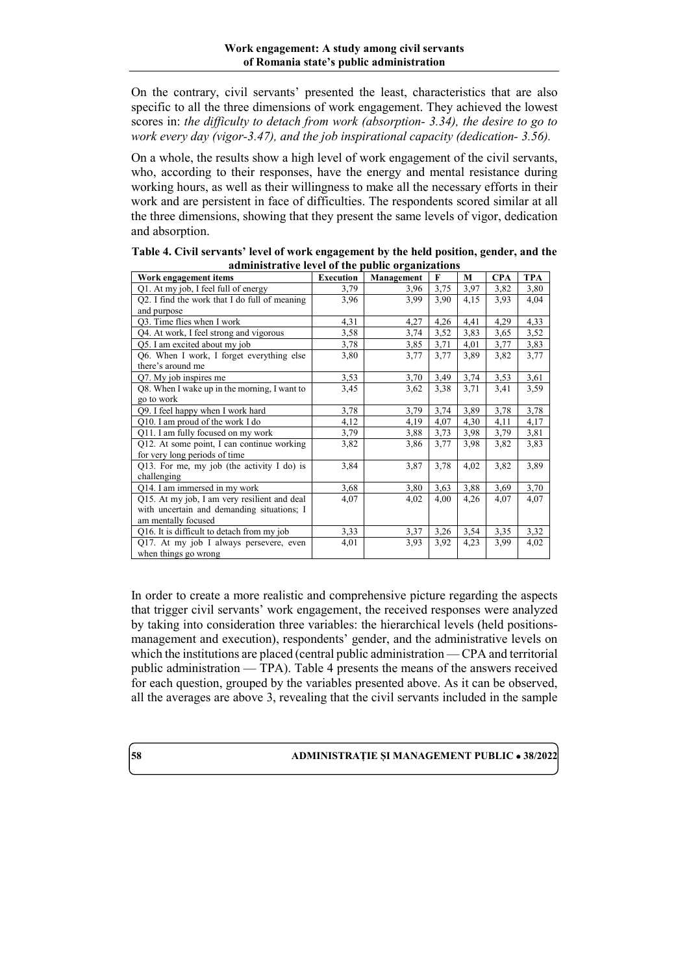On the contrary, civil servants' presented the least, characteristics that are also specific to all the three dimensions of work engagement. They achieved the lowest scores in: *the difficulty to detach from work (absorption- 3.34), the desire to go to work every day (vigor-3.47), and the job inspirational capacity (dedication- 3.56).*

On a whole, the results show a high level of work engagement of the civil servants, who, according to their responses, have the energy and mental resistance during working hours, as well as their willingness to make all the necessary efforts in their work and are persistent in face of difficulties. The respondents scored similar at all the three dimensions, showing that they present the same levels of vigor, dedication and absorption.

| Work engagement items                         | <b>Execution</b> | Management | F    | M    | <b>CPA</b> | <b>TPA</b> |
|-----------------------------------------------|------------------|------------|------|------|------------|------------|
| Q1. At my job, I feel full of energy          | 3,79             | 3,96       | 3,75 | 3,97 | 3,82       | 3,80       |
| Q2. I find the work that I do full of meaning | 3,96             | 3,99       | 3,90 | 4,15 | 3.93       | 4,04       |
| and purpose                                   |                  |            |      |      |            |            |
| O3. Time flies when I work                    | 4,31             | 4,27       | 4,26 | 4,41 | 4,29       | 4,33       |
| Q4. At work, I feel strong and vigorous       | 3,58             | 3,74       | 3,52 | 3,83 | 3,65       | 3,52       |
| Q5. I am excited about my job                 | 3,78             | 3,85       | 3,71 | 4,01 | 3,77       | 3,83       |
| Q6. When I work, I forget everything else     | 3,80             | 3,77       | 3,77 | 3,89 | 3,82       | 3,77       |
| there's around me                             |                  |            |      |      |            |            |
| Q7. My job inspires me                        | 3,53             | 3,70       | 3,49 | 3,74 | 3,53       | 3,61       |
| Q8. When I wake up in the morning, I want to  | 3,45             | 3,62       | 3,38 | 3,71 | 3,41       | 3,59       |
| go to work                                    |                  |            |      |      |            |            |
| Q9. I feel happy when I work hard             | 3,78             | 3,79       | 3,74 | 3,89 | 3,78       | 3,78       |
| Q10. I am proud of the work I do              | 4,12             | 4,19       | 4,07 | 4,30 | 4,11       | 4,17       |
| Q11. I am fully focused on my work            | 3,79             | 3,88       | 3,73 | 3,98 | 3,79       | 3,81       |
| Q12. At some point, I can continue working    | 3,82             | 3,86       | 3,77 | 3.98 | 3,82       | 3,83       |
| for very long periods of time                 |                  |            |      |      |            |            |
| Q13. For me, my job (the activity $I$ do) is  | 3,84             | 3,87       | 3,78 | 4,02 | 3,82       | 3,89       |
| challenging                                   |                  |            |      |      |            |            |
| Q14. I am immersed in my work                 | 3,68             | 3,80       | 3,63 | 3,88 | 3,69       | 3,70       |
| Q15. At my job, I am very resilient and deal  | 4,07             | 4,02       | 4,00 | 4,26 | 4,07       | 4,07       |
| with uncertain and demanding situations; I    |                  |            |      |      |            |            |
| am mentally focused                           |                  |            |      |      |            |            |
| Q16. It is difficult to detach from my job    | 3,33             | 3,37       | 3,26 | 3,54 | 3,35       | 3,32       |
| Q17. At my job I always persevere, even       | 4,01             | 3,93       | 3,92 | 4,23 | 3,99       | 4,02       |
| when things go wrong                          |                  |            |      |      |            |            |

**Table 4. Civil servants' level of work engagement by the held position, gender, and the administrative level of the public organizations**

In order to create a more realistic and comprehensive picture regarding the aspects that trigger civil servants' work engagement, the received responses were analyzed by taking into consideration three variables: the hierarchical levels (held positionsmanagement and execution), respondents' gender, and the administrative levels on which the institutions are placed (central public administration — CPA and territorial public administration — TPA). Table 4 presents the means of the answers received for each question, grouped by the variables presented above. As it can be observed, all the averages are above 3, revealing that the civil servants included in the sample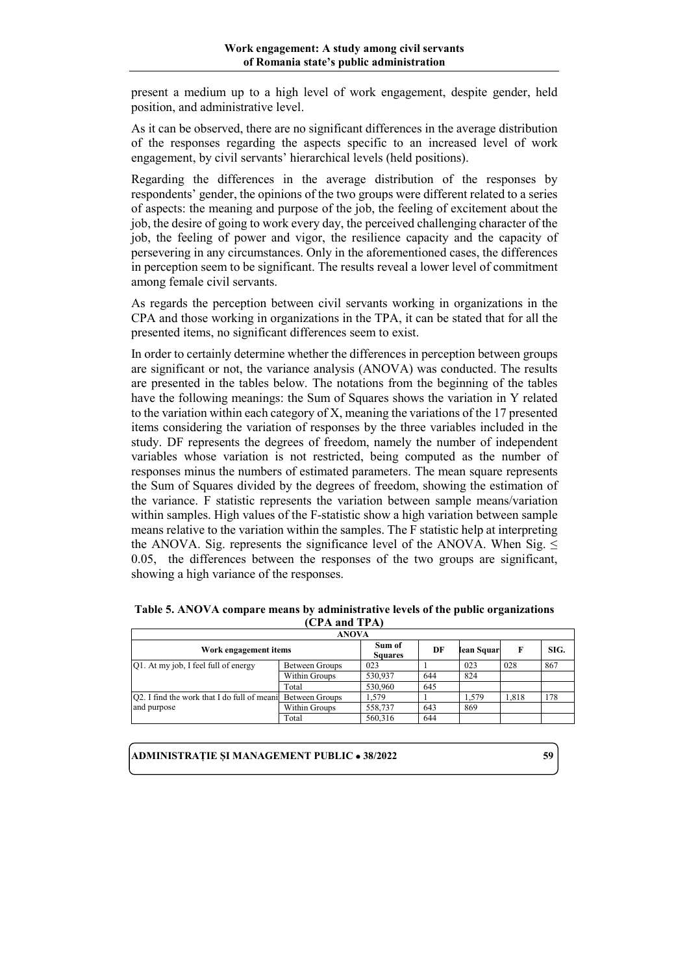present a medium up to a high level of work engagement, despite gender, held position, and administrative level.

As it can be observed, there are no significant differences in the average distribution of the responses regarding the aspects specific to an increased level of work engagement, by civil servants' hierarchical levels (held positions).

Regarding the differences in the average distribution of the responses by respondents' gender, the opinions of the two groups were different related to a series of aspects: the meaning and purpose of the job, the feeling of excitement about the job, the desire of going to work every day, the perceived challenging character of the job, the feeling of power and vigor, the resilience capacity and the capacity of persevering in any circumstances. Only in the aforementioned cases, the differences in perception seem to be significant. The results reveal a lower level of commitment among female civil servants.

As regards the perception between civil servants working in organizations in the CPA and those working in organizations in the TPA, it can be stated that for all the presented items, no significant differences seem to exist.

In order to certainly determine whether the differences in perception between groups are significant or not, the variance analysis (ANOVA) was conducted. The results are presented in the tables below. The notations from the beginning of the tables have the following meanings: the Sum of Squares shows the variation in Y related to the variation within each category of X, meaning the variations of the 17 presented items considering the variation of responses by the three variables included in the study. DF represents the degrees of freedom, namely the number of independent variables whose variation is not restricted, being computed as the number of responses minus the numbers of estimated parameters. The mean square represents the Sum of Squares divided by the degrees of freedom, showing the estimation of the variance. F statistic represents the variation between sample means/variation within samples. High values of the F-statistic show a high variation between sample means relative to the variation within the samples. The F statistic help at interpreting the ANOVA. Sig. represents the significance level of the ANOVA. When Sig.  $\leq$ 0.05, the differences between the responses of the two groups are significant, showing a high variance of the responses.

| Table 5. ANOVA compare means by administrative levels of the public organizations |
|-----------------------------------------------------------------------------------|
| (CPA and TPA)                                                                     |
|                                                                                   |

|                                                              | ANOVA          |                          |     |            |       |      |  |  |
|--------------------------------------------------------------|----------------|--------------------------|-----|------------|-------|------|--|--|
| Work engagement items                                        |                | Sum of<br><b>Squares</b> | DF  | lean Squar | F     | SIG. |  |  |
| [Q1. At my job, I feel full of energy]                       | Between Groups | 023                      |     | 023        | 028   | 867  |  |  |
|                                                              | Within Groups  | 530,937                  | 644 | 824        |       |      |  |  |
|                                                              | Total          | 530,960                  | 645 |            |       |      |  |  |
| [O2. I find the work that I do full of meani Between Groups] |                | 1.579                    |     | 1.579      | 1.818 | 178  |  |  |
| and purpose                                                  | Within Groups  | 558,737                  | 643 | 869        |       |      |  |  |
|                                                              | Total          | 560,316                  | 644 |            |       |      |  |  |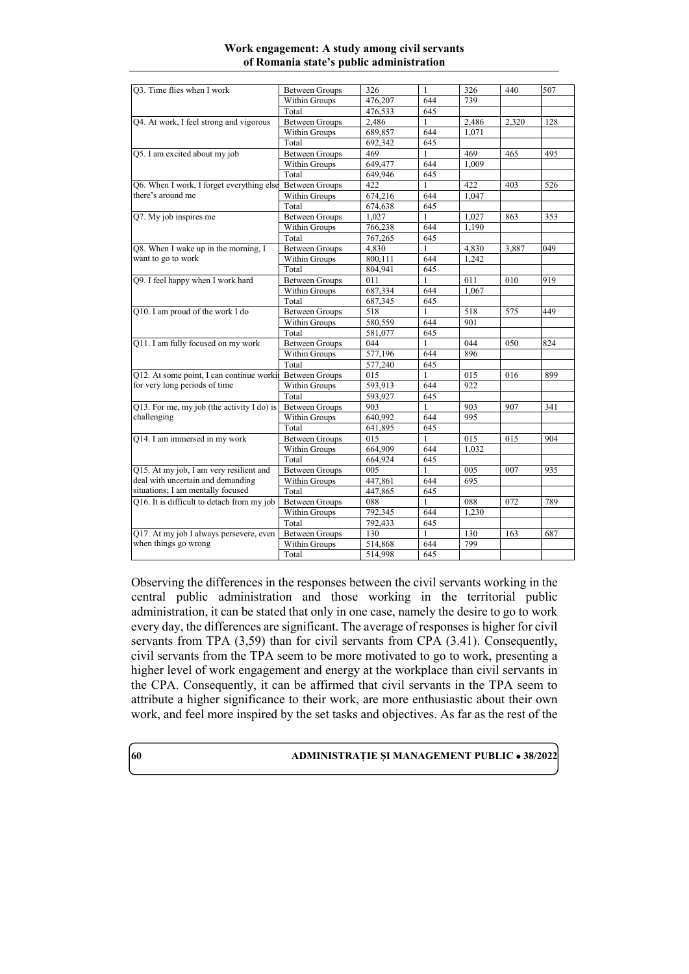#### **Work engagement: A study among civil servants of Romania state's public administration**

| Q3. Time flies when I work                 | <b>Between Groups</b> | 326     | 1                   | 326        | 440   | 507 |
|--------------------------------------------|-----------------------|---------|---------------------|------------|-------|-----|
|                                            | Within Groups         | 476,207 | 644                 | 739        |       |     |
|                                            | Total                 | 476,533 | 645                 |            |       |     |
| Q4. At work, I feel strong and vigorous    | <b>Between Groups</b> | 2,486   | 1                   | 2,486      | 2,320 | 128 |
|                                            | Within Groups         | 689,857 | 644                 | 1.071      |       |     |
|                                            | Total                 | 692.342 | 645                 |            |       |     |
| Q5. I am excited about my job              | <b>Between Groups</b> | 469     |                     | 469        | 465   | 495 |
|                                            | Within Groups         | 649,477 | 644                 | 1.009      |       |     |
|                                            | Total                 | 649,946 | 645                 |            |       |     |
| Q6. When I work, I forget everything else  | <b>Between Groups</b> | 422     | 1                   | 422        | 403   | 526 |
| there's around me                          | Within Groups         | 674.216 | 644                 | 1.047      |       |     |
|                                            | Total                 | 674,638 | 645                 |            |       |     |
| Q7. My job inspires me                     | <b>Between Groups</b> | 1,027   | 1                   | 1,027      | 863   | 353 |
|                                            | Within Groups         | 766,238 | 644                 | 1,190      |       |     |
|                                            | Total                 | 767,265 | 645                 |            |       |     |
| Q8. When I wake up in the morning, I       | <b>Between Groups</b> | 4,830   |                     | 4,830      | 3,887 | 049 |
| want to go to work                         | Within Groups         | 800,111 | 644                 | 1.242      |       |     |
|                                            | Total                 | 804.941 | 645                 |            |       |     |
| Q9. I feel happy when I work hard          | <b>Between Groups</b> | 011     |                     | 011        | 010   | 919 |
|                                            | Within Groups         | 687.334 | 644                 | 1.067      |       |     |
|                                            |                       |         |                     |            |       |     |
|                                            | Total                 | 687,345 | 645<br>$\mathbf{1}$ |            |       | 449 |
| Q10. I am proud of the work I do           | <b>Between Groups</b> | 518     |                     | 518<br>901 | 575   |     |
|                                            | Within Groups         | 580,559 | 644                 |            |       |     |
|                                            | Total                 | 581,077 | 645<br>$\mathbf{1}$ |            |       |     |
| Q11. I am fully focused on my work         | <b>Between Groups</b> | 044     |                     | 044        | 050   | 824 |
|                                            | Within Groups         | 577,196 | 644                 | 896        |       |     |
|                                            | Total                 | 577,240 | 645                 |            |       |     |
| Q12. At some point, I can continue worki   | <b>Between Groups</b> | 015     |                     | 015        | 016   | 899 |
| for very long periods of time              | Within Groups         | 593,913 | 644                 | 922        |       |     |
|                                            | Total                 | 593.927 | 645                 |            |       |     |
| Q13. For me, my job (the activity I do) is | <b>Between Groups</b> | 903     |                     | 903        | 907   | 341 |
| challenging                                | Within Groups         | 640,992 | 644                 | 995        |       |     |
|                                            | Total                 | 641,895 | 645                 |            |       |     |
| Q14. I am immersed in my work              | <b>Between Groups</b> | 015     | 1                   | 015        | 015   | 904 |
|                                            | Within Groups         | 664,909 | 644                 | 1.032      |       |     |
|                                            | Total                 | 664,924 | 645                 |            |       |     |
| Q15. At my job, I am very resilient and    | <b>Between Groups</b> | 005     | 1                   | 005        | 007   | 935 |
| deal with uncertain and demanding          | Within Groups         | 447,861 | 644                 | 695        |       |     |
| situations; I am mentally focused          | Total                 | 447,865 | 645                 |            |       |     |
| Q16. It is difficult to detach from my job | <b>Between Groups</b> | 088     |                     | 088        | 072   | 789 |
|                                            | Within Groups         | 792,345 | 644                 | 1,230      |       |     |
|                                            | Total                 | 792,433 | 645                 |            |       |     |
| Q17. At my job I always persevere, even    | <b>Between Groups</b> | 130     |                     | 130        | 163   | 687 |
| when things go wrong                       | Within Groups         | 514,868 | 644                 | 799        |       |     |
|                                            | Total                 | 514,998 | 645                 |            |       |     |

Observing the differences in the responses between the civil servants working in the central public administration and those working in the territorial public administration, it can be stated that only in one case, namely the desire to go to work every day, the differences are significant. The average of responses is higher for civil servants from TPA (3,59) than for civil servants from CPA (3.41). Consequently, civil servants from the TPA seem to be more motivated to go to work, presenting a higher level of work engagement and energy at the workplace than civil servants in the CPA. Consequently, it can be affirmed that civil servants in the TPA seem to attribute a higher significance to their work, are more enthusiastic about their own work, and feel more inspired by the set tasks and objectives. As far as the rest of the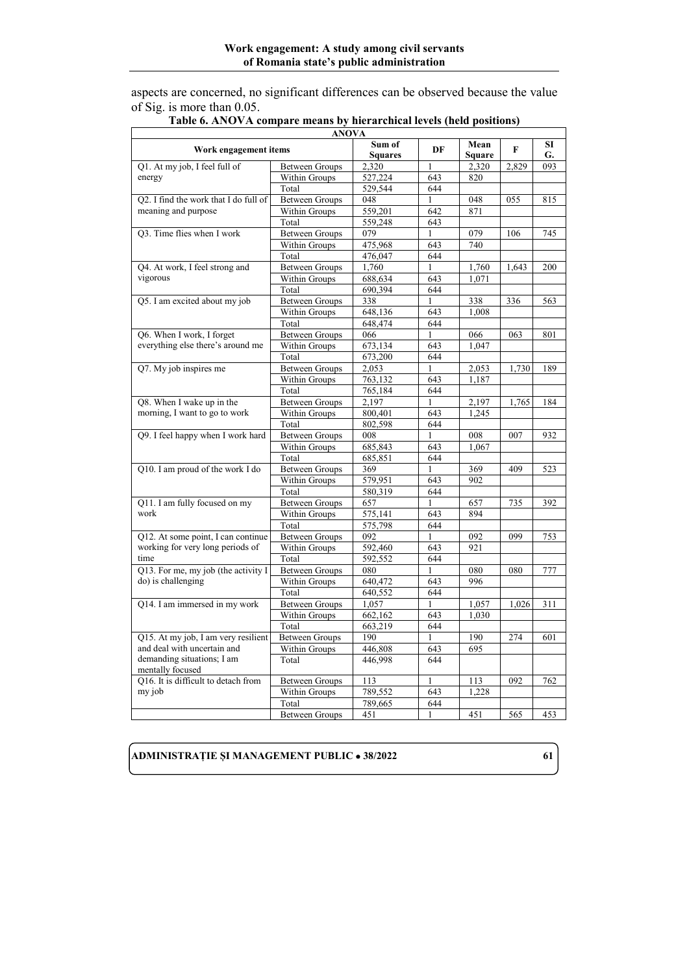aspects are concerned, no significant differences can be observed because the value of Sig. is more than 0.05.

|                                                | <b>ANOVA</b>          |                          |              |                       |       |                 |
|------------------------------------------------|-----------------------|--------------------------|--------------|-----------------------|-------|-----------------|
| Work engagement items                          |                       | Sum of<br><b>Squares</b> | DF           | Mean<br><b>Square</b> | F     | <b>SI</b><br>G. |
| Q1. At my job, I feel full of                  | <b>Between Groups</b> | 2,320                    | 1            | 2,320                 | 2,829 | 093             |
| energy                                         | Within Groups         | 527,224                  | 643          | 820                   |       |                 |
|                                                | Total                 | 529,544                  | 644          |                       |       |                 |
| O2. I find the work that I do full of          | <b>Between Groups</b> | 048                      | $\mathbf{1}$ | 048                   | 055   | 815             |
| meaning and purpose                            | Within Groups         | 559,201                  | 642          | 871                   |       |                 |
|                                                | Total                 | 559.248                  | 643          |                       |       |                 |
| Q3. Time flies when I work                     | <b>Between Groups</b> | 079                      | $\mathbf{1}$ | 079                   | 106   | 745             |
|                                                | Within Groups         | 475,968                  | 643          | 740                   |       |                 |
|                                                | Total                 | 476,047                  | 644          |                       |       |                 |
| Q4. At work, I feel strong and                 | <b>Between Groups</b> | 1,760                    | $\mathbf{1}$ | 1,760                 | 1,643 | 200             |
| vigorous                                       | Within Groups         | 688,634                  | 643          | 1.071                 |       |                 |
|                                                | Total                 | 690,394                  | 644          |                       |       |                 |
| Q5. I am excited about my job                  | <b>Between Groups</b> | 338                      | $\mathbf{1}$ | 338                   | 336   | 563             |
|                                                | Within Groups         | 648,136                  | 643          | 1,008                 |       |                 |
|                                                | Total                 | 648,474                  | 644          |                       |       |                 |
| Q6. When I work, I forget                      | <b>Between Groups</b> | 066                      | $\mathbf{1}$ | 066                   | 063   | 801             |
| everything else there's around me              | Within Groups         | 673,134                  | 643          | 1.047                 |       |                 |
|                                                | Total                 | 673,200                  | 644          |                       |       |                 |
| Q7. My job inspires me                         | <b>Between Groups</b> | 2,053                    | 1            | 2,053                 | 1,730 | 189             |
|                                                | Within Groups         | 763,132                  | 643          | 1,187                 |       |                 |
|                                                | Total                 | 765,184                  | 644          |                       |       |                 |
| Q8. When I wake up in the                      | <b>Between Groups</b> | 2,197                    | $\mathbf{1}$ | 2,197                 | 1,765 | 184             |
| morning, I want to go to work                  | Within Groups         | 800,401                  | 643          | 1.245                 |       |                 |
|                                                | Total                 | 802,598                  | 644          |                       |       |                 |
| Q9. I feel happy when I work hard              | <b>Between Groups</b> | 008                      | 1            | 008                   | 007   | 932             |
|                                                | Within Groups         | 685,843                  | 643          | 1.067                 |       |                 |
|                                                | Total                 | 685,851                  | 644          |                       |       |                 |
| Q10. I am proud of the work I do               | <b>Between Groups</b> | 369                      | $\mathbf{1}$ | 369                   | 409   | 523             |
|                                                | Within Groups         | 579,951                  | 643          | 902                   |       |                 |
|                                                | Total                 | 580,319                  | 644          |                       |       |                 |
| Q11. I am fully focused on my                  | <b>Between Groups</b> | 657                      | 1            | 657                   | 735   | 392             |
| work                                           | Within Groups         | $\overline{575,}141$     | 643          | 894                   |       |                 |
|                                                | Total                 | 575,798                  | 644          |                       |       |                 |
| Q12. At some point, I can continue             | <b>Between Groups</b> | 092                      | $\mathbf{1}$ | 092                   | 099   | 753             |
| working for very long periods of               | Within Groups         | 592,460                  | 643          | 921                   |       |                 |
| time                                           | Total                 | 592,552                  | 644          |                       |       |                 |
| Q13. For me, my job (the activity I            | <b>Between Groups</b> | 080                      | 1            | 080                   | 080   | 777             |
| do) is challenging                             | Within Groups         | 640,472                  | 643          | 996                   |       |                 |
|                                                | Total                 | 640,552                  | 644          |                       |       |                 |
| Q14. I am immersed in my work                  | <b>Between Groups</b> | 1,057                    | $\mathbf{1}$ | 1,057                 | 1.026 | 311             |
|                                                | Within Groups         | 662,162                  | 643          | 1,030                 |       |                 |
|                                                | Total                 | 663,219                  | 644          |                       |       |                 |
| Q15. At my job, I am very resilient            | <b>Between Groups</b> | 190                      | 1            | 190                   | 274   | 601             |
| and deal with uncertain and                    | Within Groups         | 446,808                  | 643          | 695                   |       |                 |
| demanding situations; I am<br>mentally focused | Total                 | 446,998                  | 644          |                       |       |                 |
| O16. It is difficult to detach from            | <b>Between Groups</b> | 113                      | 1            | 113                   | 092   | 762             |
| my job                                         | Within Groups         | 789,552                  | 643          | 1.228                 |       |                 |
|                                                | Total                 | 789,665                  | 644          |                       |       |                 |
|                                                | <b>Between Groups</b> | 451                      | 1            | 451                   | 565   | 453             |
|                                                |                       |                          |              |                       |       |                 |

#### **Table 6. ANOVA compare means by hierarchical levels (held positions)**

 $\mathbf{r}$ 

### **ADMINISTRAȚIE ȘI MANAGEMENT PUBLIC** • **38/2022 61**

7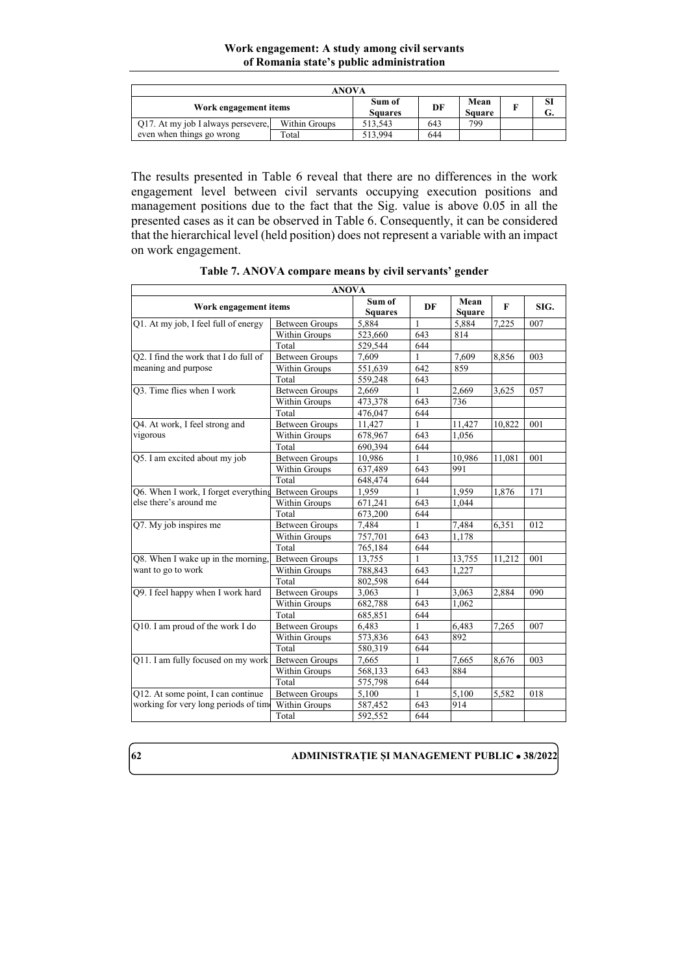### **Work engagement: A study among civil servants of Romania state's public administration**

| ANOVA                              |               |                          |     |                       |  |          |
|------------------------------------|---------------|--------------------------|-----|-----------------------|--|----------|
| Work engagement items              |               | Sum of<br><b>Squares</b> | DF  | Mean<br><b>Square</b> |  | SI<br>G. |
| Q17. At my job I always persevere, | Within Groups | 513.543                  | 643 | 799                   |  |          |
| even when things go wrong          | Total         | 513.994                  | 644 |                       |  |          |

The results presented in Table 6 reveal that there are no differences in the work engagement level between civil servants occupying execution positions and management positions due to the fact that the Sig. value is above 0.05 in all the presented cases as it can be observed in Table 6. Consequently, it can be considered that the hierarchical level (held position) does not represent a variable with an impact on work engagement.

|                                       |                       | <b>ANOVA</b>             |     |                       |        |      |
|---------------------------------------|-----------------------|--------------------------|-----|-----------------------|--------|------|
| Work engagement items                 |                       | Sum of<br><b>Squares</b> | DF  | Mean<br><b>Square</b> | F      | SIG. |
| Q1. At my job, I feel full of energy  | <b>Between Groups</b> | 5,884                    | 1   | 5,884                 | 7.225  | 007  |
|                                       | Within Groups         | 523,660                  | 643 | 814                   |        |      |
|                                       | Total                 | 529.544                  | 644 |                       |        |      |
| Q2. I find the work that I do full of | <b>Between Groups</b> | 7.609                    | 1   | 7.609                 | 8,856  | 003  |
| meaning and purpose                   | Within Groups         | 551.639                  | 642 | 859                   |        |      |
|                                       | Total                 | 559.248                  | 643 |                       |        |      |
| Q3. Time flies when I work            | <b>Between Groups</b> | 2,669                    | 1   | 2,669                 | 3,625  | 057  |
|                                       | Within Groups         | 473,378                  | 643 | 736                   |        |      |
|                                       | Total                 | 476,047                  | 644 |                       |        |      |
| Q4. At work, I feel strong and        | <b>Between Groups</b> | 11,427                   | 1   | 11,427                | 10,822 | 001  |
| vigorous                              | Within Groups         | 678,967                  | 643 | 1,056                 |        |      |
|                                       | Total                 | 690.394                  | 644 |                       |        |      |
| Q5. I am excited about my job         | <b>Between Groups</b> | 10,986                   | 1   | 10,986                | 11,081 | 001  |
|                                       | Within Groups         | 637,489                  | 643 | 991                   |        |      |
|                                       | Total                 | 648,474                  | 644 |                       |        |      |
| Q6. When I work, I forget everything  | <b>Between Groups</b> | 1,959                    | 1   | 1,959                 | 1,876  | 171  |
| else there's around me                | Within Groups         | 671,241                  | 643 | 1,044                 |        |      |
|                                       | Total                 | 673.200                  | 644 |                       |        |      |
| Q7. My job inspires me                | <b>Between Groups</b> | 7,484                    | 1   | 7,484                 | 6,351  | 012  |
|                                       | Within Groups         | 757,701                  | 643 | 1.178                 |        |      |
|                                       | Total                 | 765,184                  | 644 |                       |        |      |
| Q8. When I wake up in the morning,    | <b>Between Groups</b> | 13,755                   | 1   | 13,755                | 11,212 | 001  |
| want to go to work                    | Within Groups         | 788.843                  | 643 | 1,227                 |        |      |
|                                       | Total                 | 802,598                  | 644 |                       |        |      |
| Q9. I feel happy when I work hard     | <b>Between Groups</b> | 3,063                    | 1   | 3,063                 | 2,884  | 090  |
|                                       | Within Groups         | 682.788                  | 643 | 1.062                 |        |      |
|                                       | Total                 | 685.851                  | 644 |                       |        |      |
| Q10. I am proud of the work I do      | <b>Between Groups</b> | 6,483                    | 1   | 6,483                 | 7,265  | 007  |
|                                       | Within Groups         | 573,836                  | 643 | 892                   |        |      |
|                                       | Total                 | 580,319                  | 644 |                       |        |      |
| Q11. I am fully focused on my work    | <b>Between Groups</b> | 7,665                    | 1   | 7,665                 | 8,676  | 003  |
|                                       | Within Groups         | 568,133                  | 643 | 884                   |        |      |
|                                       | Total                 | 575,798                  | 644 |                       |        |      |
| Q12. At some point, I can continue    | <b>Between Groups</b> | 5.100                    | 1   | 5.100                 | 5.582  | 018  |
| working for very long periods of tim- | Within Groups         | 587,452                  | 643 | 914                   |        |      |
|                                       | Total                 | 592,552                  | 644 |                       |        |      |

**Table 7. ANOVA compare means by civil servants' gender**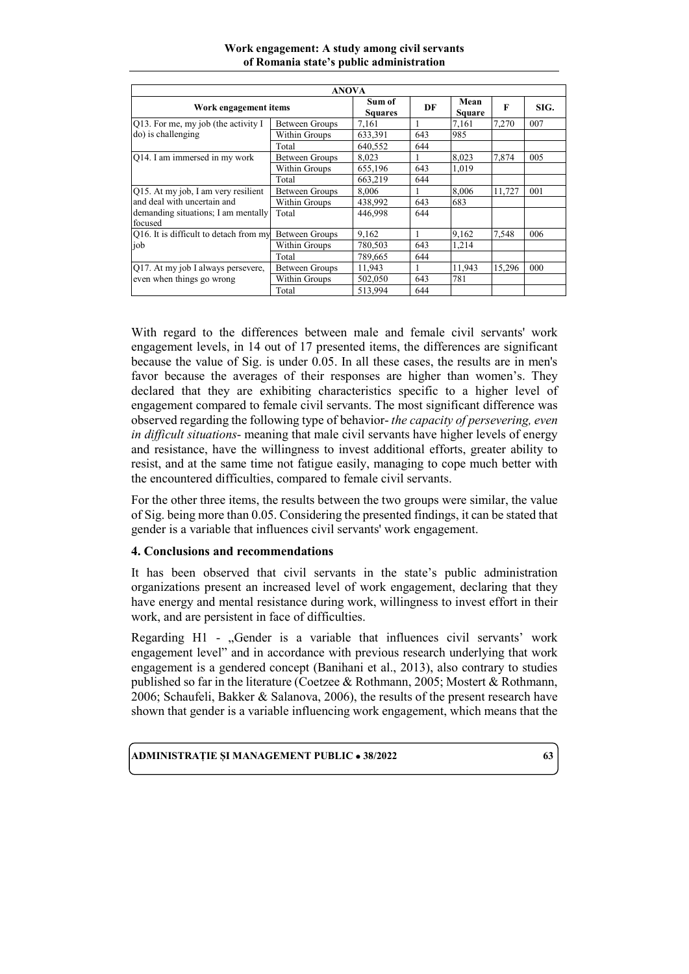| <b>ANOVA</b>                                                                                                         |                |                          |     |                |        |      |
|----------------------------------------------------------------------------------------------------------------------|----------------|--------------------------|-----|----------------|--------|------|
| Work engagement items                                                                                                |                | Sum of<br><b>Squares</b> | DF  | Mean<br>Square | F      | SIG. |
| Q13. For me, my job (the activity I<br>do) is challenging                                                            | Between Groups | 7.161                    |     | 7.161          | 7,270  | 007  |
|                                                                                                                      | Within Groups  | 633,391                  | 643 | 985            |        |      |
|                                                                                                                      | Total          | 640,552                  | 644 |                |        |      |
| Q14. I am immersed in my work                                                                                        | Between Groups | 8.023                    | 1   | 8,023          | 7,874  | 005  |
|                                                                                                                      | Within Groups  | 655,196                  | 643 | 1.019          |        |      |
|                                                                                                                      | Total          | 663,219                  | 644 |                |        |      |
| Q15. At my job, I am very resilient<br>and deal with uncertain and<br>demanding situations; I am mentally<br>focused | Between Groups | 8.006                    | 1   | 8,006          | 11.727 | 001  |
|                                                                                                                      | Within Groups  | 438,992                  | 643 | 683            |        |      |
|                                                                                                                      | Total          | 446,998                  | 644 |                |        |      |
| Q16. It is difficult to detach from my<br>job                                                                        | Between Groups | 9.162                    |     | 9,162          | 7,548  | 006  |
|                                                                                                                      | Within Groups  | 780,503                  | 643 | 1,214          |        |      |
|                                                                                                                      | Total          | 789,665                  | 644 |                |        |      |
| Q17. At my job I always persevere,<br>even when things go wrong                                                      | Between Groups | 11.943                   |     | 11,943         | 15,296 | 000  |
|                                                                                                                      | Within Groups  | 502,050                  | 643 | 781            |        |      |
|                                                                                                                      | Total          | 513,994                  | 644 |                |        |      |

**Work engagement: A study among civil servants of Romania state's public administration**

With regard to the differences between male and female civil servants' work engagement levels, in 14 out of 17 presented items, the differences are significant because the value of Sig. is under  $0.05$ . In all these cases, the results are in men's favor because the averages of their responses are higher than women's. They declared that they are exhibiting characteristics specific to a higher level of engagement compared to female civil servants. The most significant difference was observed regarding the following type of behavior- *the capacity of persevering, even in difficult situations*- meaning that male civil servants have higher levels of energy and resistance, have the willingness to invest additional efforts, greater ability to resist, and at the same time not fatigue easily, managing to cope much better with the encountered difficulties, compared to female civil servants.

For the other three items, the results between the two groups were similar, the value of Sig. being more than 0.05. Considering the presented findings, it can be stated that gender is a variable that influences civil servants' work engagement.

# **4. Conclusions and recommendations**

It has been observed that civil servants in the state's public administration organizations present an increased level of work engagement, declaring that they have energy and mental resistance during work, willingness to invest effort in their work, and are persistent in face of difficulties.

Regarding  $H1$  - "Gender is a variable that influences civil servants' work engagement level" and in accordance with previous research underlying that work engagement is a gendered concept (Banihani et al., 2013), also contrary to studies published so far in the literature (Coetzee & Rothmann, 2005; Mostert & Rothmann, 2006; Schaufeli, Bakker & Salanova, 2006), the results of the present research have shown that gender is a variable influencing work engagement, which means that the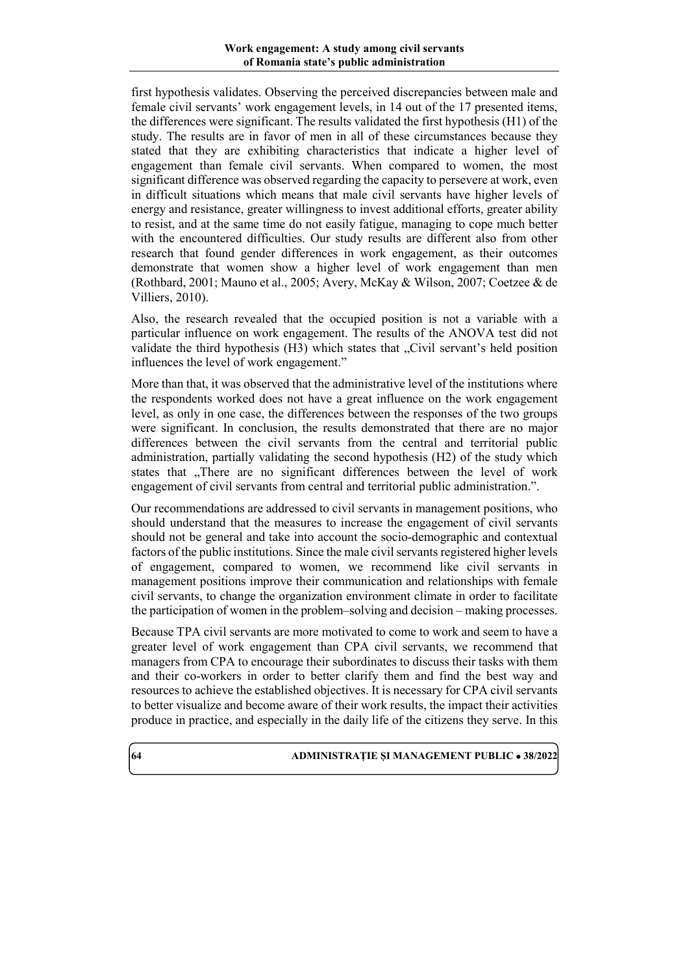first hypothesis validates. Observing the perceived discrepancies between male and female civil servants' work engagement levels, in 14 out of the 17 presented items, the differences were significant. The results validated the first hypothesis (H1) of the study. The results are in favor of men in all of these circumstances because they stated that they are exhibiting characteristics that indicate a higher level of engagement than female civil servants. When compared to women, the most significant difference was observed regarding the capacity to persevere at work, even in difficult situations which means that male civil servants have higher levels of energy and resistance, greater willingness to invest additional efforts, greater ability to resist, and at the same time do not easily fatigue, managing to cope much better with the encountered difficulties. Our study results are different also from other research that found gender differences in work engagement, as their outcomes demonstrate that women show a higher level of work engagement than men (Rothbard, 2001; Mauno et al., 2005; Avery, McKay & Wilson, 2007; Coetzee & de Villiers, 2010).

Also, the research revealed that the occupied position is not a variable with a particular influence on work engagement. The results of the ANOVA test did not validate the third hypothesis (H3) which states that "Civil servant's held position influences the level of work engagement."

More than that, it was observed that the administrative level of the institutions where the respondents worked does not have a great influence on the work engagement level, as only in one case, the differences between the responses of the two groups were significant. In conclusion, the results demonstrated that there are no major differences between the civil servants from the central and territorial public administration, partially validating the second hypothesis (H2) of the study which states that "There are no significant differences between the level of work engagement of civil servants from central and territorial public administration.".

Our recommendations are addressed to civil servants in management positions, who should understand that the measures to increase the engagement of civil servants should not be general and take into account the socio-demographic and contextual factors of the public institutions. Since the male civil servants registered higher levels of engagement, compared to women, we recommend like civil servants in management positions improve their communication and relationships with female civil servants, to change the organization environment climate in order to facilitate the participation of women in the problem–solving and decision – making processes.

Because TPA civil servants are more motivated to come to work and seem to have a greater level of work engagement than CPA civil servants, we recommend that managers from CPA to encourage their subordinates to discuss their tasks with them and their co-workers in order to better clarify them and find the best way and resources to achieve the established objectives. It is necessary for CPA civil servants to better visualize and become aware of their work results, the impact their activities produce in practice, and especially in the daily life of the citizens they serve. In this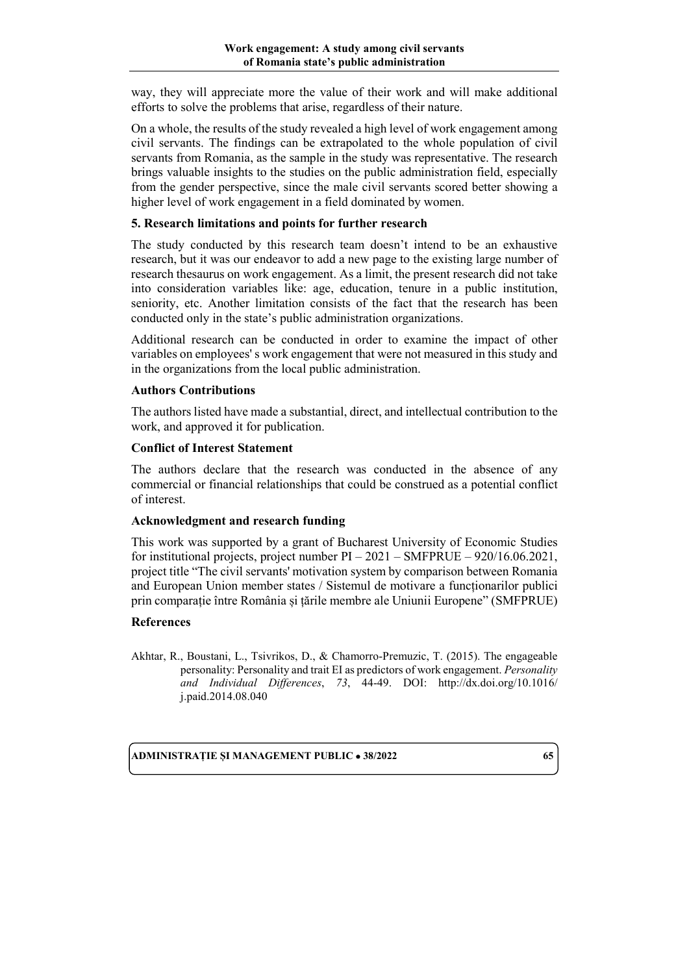way, they will appreciate more the value of their work and will make additional efforts to solve the problems that arise, regardless of their nature.

On a whole, the results of the study revealed a high level of work engagement among civil servants. The findings can be extrapolated to the whole population of civil servants from Romania, as the sample in the study was representative. The research brings valuable insights to the studies on the public administration field, especially from the gender perspective, since the male civil servants scored better showing a higher level of work engagement in a field dominated by women.

### **5. Research limitations and points for further research**

The study conducted by this research team doesn't intend to be an exhaustive research, but it was our endeavor to add a new page to the existing large number of research thesaurus on work engagement. As a limit, the present research did not take into consideration variables like: age, education, tenure in a public institution, seniority, etc. Another limitation consists of the fact that the research has been conducted only in the state's public administration organizations.

Additional research can be conducted in order to examine the impact of other variables on employees' s work engagement that were not measured in this study and in the organizations from the local public administration.

### **Authors Contributions**

The authors listed have made a substantial, direct, and intellectual contribution to the work, and approved it for publication.

# **Conflict of Interest Statement**

The authors declare that the research was conducted in the absence of any commercial or financial relationships that could be construed as a potential conflict of interest.

### **Acknowledgment and research funding**

This work was supported by a grant of Bucharest University of Economic Studies for institutional projects, project number PI – 2021 – SMFPRUE – 920/16.06.2021, project title "The civil servants' motivation system by comparison between Romania and European Union member states / Sistemul de motivare a funcționarilor publici prin comparație între România și țările membre ale Uniunii Europene" (SMFPRUE)

### **References**

Akhtar, R., Boustani, L., Tsivrikos, D., & Chamorro-Premuzic, T. (2015). The engageable personality: Personality and trait EI as predictors of work engagement. *Personality and Individual Differences*, *73*, 44-49. DOI: [http://dx.doi.org/10.1016/](http://dx.doi.org/10.1016/j.paid.2014.08.040) [j.paid.2014.08.040](http://dx.doi.org/10.1016/j.paid.2014.08.040)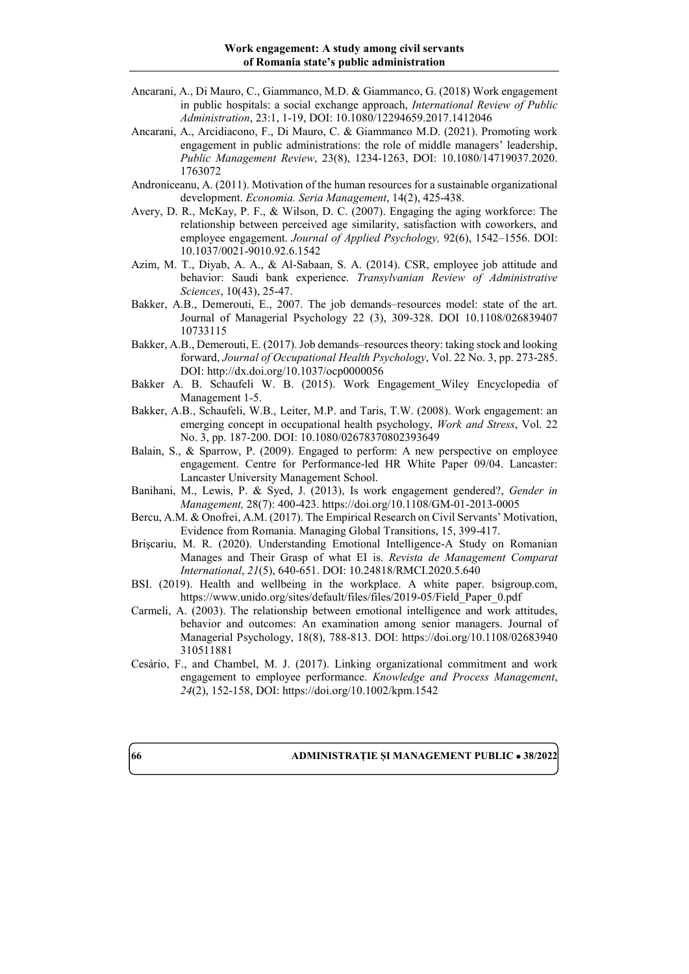- Ancarani, A., Di Mauro, C., Giammanco, M.D. & Giammanco, G. (2018) Work engagement in public hospitals: a social exchange approach, *International Review of Public Administration*, 23:1, 1-19, DOI: 10.1080/12294659.2017.1412046
- Ancarani, A., Arcidiacono, F., Di Mauro, C. & Giammanco M.D. (2021). Promoting work engagement in public administrations: the role of middle managers' leadership, *Public Management Review*, 23(8), 1234-1263, DOI: 10.1080/14719037.2020. 1763072
- Androniceanu, A. (2011). Motivation of the human resources for a sustainable organizational development. *Economia. Seria Management*, 14(2), 425-438.
- Avery, D. R., McKay, P. F., & Wilson, D. C. (2007). Engaging the aging workforce: The relationship between perceived age similarity, satisfaction with coworkers, and employee engagement. *Journal of Applied Psychology,* 92(6), 1542–1556. DOI: 10.1037/0021-9010.92.6.1542
- Azim, M. T., Diyab, A. A., & Al-Sabaan, S. A. (2014). CSR, employee job attitude and behavior: Saudi bank experience. *Transylvanian Review of Administrative Sciences*, 10(43), 25-47.
- Bakker, A.B., Demerouti, E., 2007. The job demands–resources model: state of the art. Journal of Managerial Psychology 22 (3), 309-328. DOI 10.1108/026839407 10733115
- Bakker, A.B., Demerouti, E. (2017).Job demands–resources theory: taking stock and looking forward, *Journal of Occupational Health Psychology*, Vol. 22 No. 3, pp. 273-285. DOI:<http://dx.doi.org/10.1037/ocp0000056>
- Bakker A. B. Schaufeli W. B. (2015). Work Engagement\_Wiley Encyclopedia of Management 1-5.
- Bakker, A.B., Schaufeli, W.B., Leiter, M.P. and Taris, T.W. (2008). Work engagement: an emerging concept in occupational health psychology, *Work and Stress*, Vol. 22 No. 3, pp. 187-200. DOI: 10.1080/02678370802393649
- Balain, S., & Sparrow, P. (2009). Engaged to perform: A new perspective on employee engagement. Centre for Performance-led HR White Paper 09/04. Lancaster: Lancaster University Management School.
- Banihani, M., Lewis, P. & Syed, J. (2013), Is work engagement gendered?, *Gender in Management,* 28(7): 400-423. https://doi.org/10.1108/GM-01-2013-0005
- Bercu, A.M. & Onofrei, A.M. (2017). The Empirical Research on Civil Servants' Motivation, Evidence from Romania. Managing Global Transitions, 15, 399-417.
- Brişcariu, M. R. (2020). Understanding Emotional Intelligence-A Study on Romanian Manages and Their Grasp of what EI is. *Revista de Management Comparat International*, *21*(5), 640-651. DOI: 10.24818/RMCI.2020.5.640
- BSI. (2019). Health and wellbeing in the workplace. A white paper. bsigroup.com, [https://www.unido.org/sites/default/files/files/2019-05/Field\\_Paper\\_0.pdf](https://www.unido.org/sites/default/files/files/2019-05/Field_Paper_0.pdf)
- Carmeli, A. (2003). The relationship between emotional intelligence and work attitudes, behavior and outcomes: An examination among senior managers. Journal of Managerial Psychology, 18(8), 788-813. DOI: [https://doi.org/10.1108/02683940](https://doi.org/10.1108/02683940310511881) [310511881](https://doi.org/10.1108/02683940310511881)
- Cesário, F., and Chambel, M. J. (2017). Linking organizational commitment and work engagement to employee performance. *Knowledge and Process Management*, *24*(2), 152-158, DOI:<https://doi.org/10.1002/kpm.1542>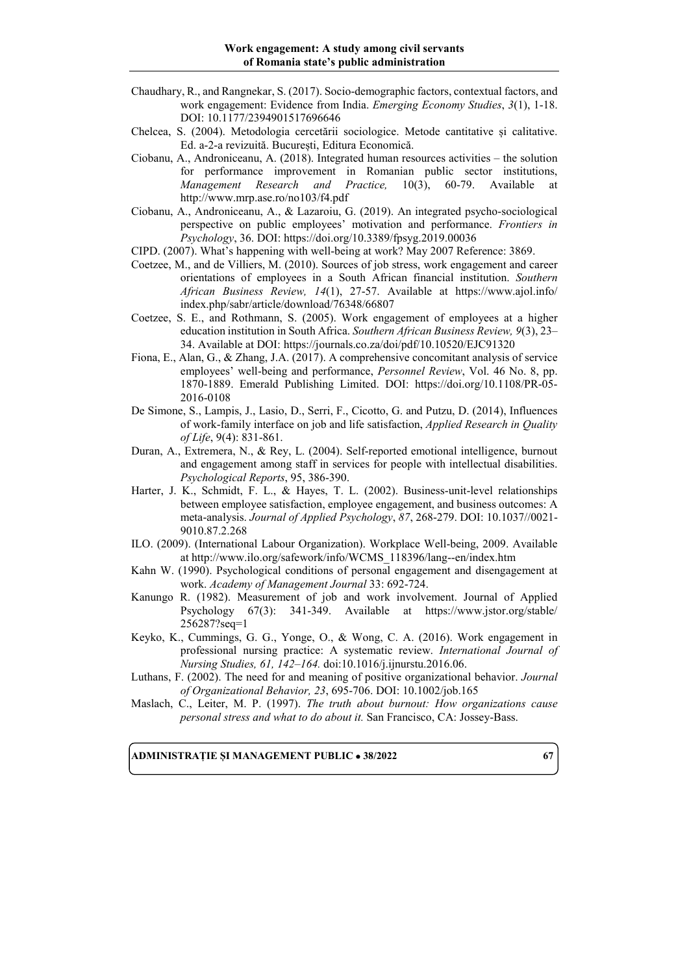- Chaudhary, R., and Rangnekar, S. (2017). Socio-demographic factors, contextual factors, and work engagement: Evidence from India. *Emerging Economy Studies*, *3*(1), 1-18. DOI: 10.1177/2394901517696646
- Chelcea, S. (2004). Metodologia cercetării sociologice. Metode cantitative și calitative. Ed. a-2-a revizuită. București, Editura Economică.
- Ciobanu, A., Androniceanu, A. (2018). Integrated human resources activities the solution for performance improvement in Romanian public sector institutions, *Management Research and Practice,* 10(3), 60-79. Available at <http://www.mrp.ase.ro/no103/f4.pdf>
- Ciobanu, A., Androniceanu, A., & Lazaroiu, G. (2019). An integrated psycho-sociological perspective on public employees' motivation and performance. *Frontiers in Psychology*, 36. DOI:<https://doi.org/10.3389/fpsyg.2019.00036>
- CIPD. (2007). What's happening with well-being at work? May 2007 Reference: 3869.
- Coetzee, M., and de Villiers, M. (2010). Sources of job stress, work engagement and career orientations of employees in a South African financial institution. *Southern African Business Review, 14*(1), 27-57. Available at https://www.ajol.info/ index.php/sabr/article/download/76348/66807
- Coetzee, S. E., and Rothmann, S. (2005). Work engagement of employees at a higher education institution in South Africa. *Southern African Business Review, 9*(3), 23– 34. Available at DOI:<https://journals.co.za/doi/pdf/10.10520/EJC91320>
- Fiona, E., Alan, G., & Zhang, J.A. (2017). A comprehensive concomitant analysis of service employees' well-being and performance, *Personnel Review*, Vol. 46 No. 8, pp. 1870-1889. Emerald Publishing Limited. DOI: [https://doi.org/10.1108/PR-05-](https://doi.org/10.1108/PR-05-2016-0108) [2016-0108](https://doi.org/10.1108/PR-05-2016-0108)
- De Simone, S., Lampis, J., Lasio, D., Serri, F., Cicotto, G. and Putzu, D. (2014), Influences of work-family interface on job and life satisfaction, *Applied Research in Quality of Life*, 9(4): 831-861.
- Duran, A., Extremera, N., & Rey, L. (2004). Self-reported emotional intelligence, burnout and engagement among staff in services for people with intellectual disabilities. *Psychological Reports*, 95, 386-390.
- Harter, J. K., Schmidt, F. L., & Hayes, T. L. (2002). Business-unit-level relationships between employee satisfaction, employee engagement, and business outcomes: A meta-analysis. *Journal of Applied Psychology*, *87*, 268-279. DOI: 10.1037//0021- 9010.87.2.268
- ILO. (2009). (International Labour Organization). Workplace Well-being, 2009. Available at [http://www.ilo.org/safework/info/WCMS\\_118396/lang--en/index.htm](http://www.ilo.org/safework/info/WCMS_118396/lang--en/index.htm)
- Kahn W. (1990). Psychological conditions of personal engagement and disengagement at work. *Academy of Management Journal* 33: 692-724.
- Kanungo R. (1982). Measurement of job and work involvement. Journal of Applied Psychology 67(3): 341-349. Available at https://www.jstor.org/stable/ 256287?seq=1
- Keyko, K., Cummings, G. G., Yonge, O., & Wong, C. A. (2016). Work engagement in professional nursing practice: A systematic review. *International Journal of Nursing Studies, 61, 142–164.* doi:10.1016/j.ijnurstu.2016.06.
- Luthans, F. (2002). The need for and meaning of positive organizational behavior. *Journal of Organizational Behavior, 23*, 695-706. DOI: 10.1002/job.165
- Maslach, C., Leiter, M. P. (1997). *The truth about burnout: How organizations cause personal stress and what to do about it.* San Francisco, CA: Jossey-Bass.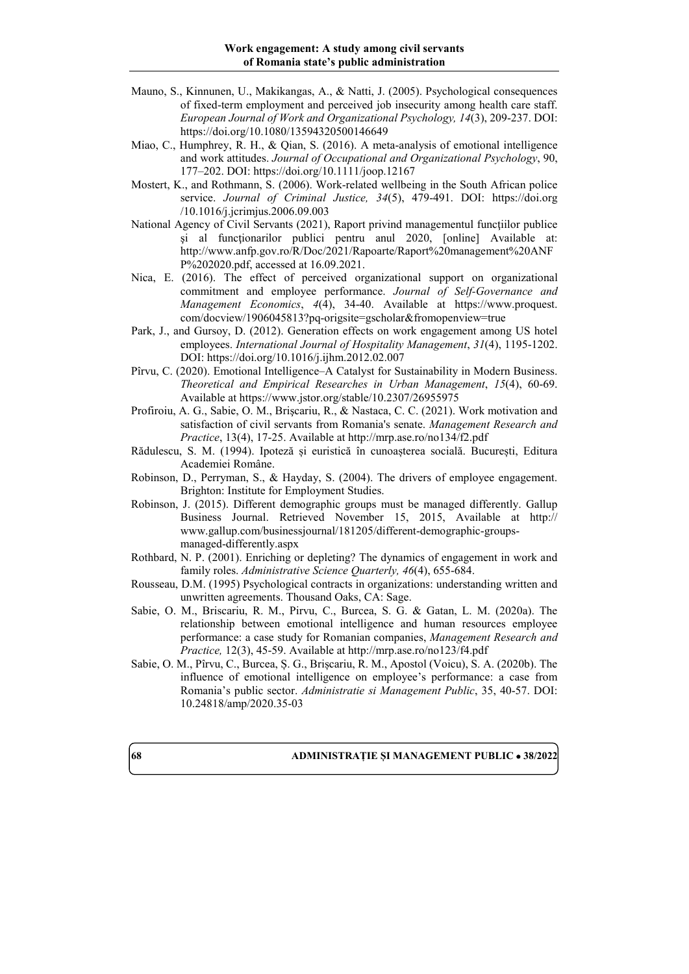- Mauno, S., Kinnunen, U., Makikangas, A., & Natti, J. (2005). Psychological consequences of fixed-term employment and perceived job insecurity among health care staff. *European Journal of Work and Organizational Psychology, 14*(3), 209-237. DOI: <https://doi.org/10.1080/13594320500146649>
- Miao, C., Humphrey, R. H., & Qian, S. (2016). A meta-analysis of emotional intelligence and work attitudes. *Journal of Occupational and Organizational Psychology*, 90, 177–202. DOI:<https://doi.org/10.1111/joop.12167>
- Mostert, K., and Rothmann, S. (2006). Work-related wellbeing in the South African police service. *Journal of Criminal Justice, 34*(5), 479-491. DOI: [https://doi.org](https://doi.org/10.1016/j.jcrimjus.2006.09.003) [/10.1016/j.jcrimjus.2006.09.003](https://doi.org/10.1016/j.jcrimjus.2006.09.003)
- National Agency of Civil Servants (2021), Raport privind managementul funcţiilor publice şi al funcţionarilor publici pentru anul 2020, [online] Available at: [http://www.anfp.gov.ro/R/Doc/2021/Rapoarte/Raport%20management%20ANF](http://www.anfp.gov.ro/R/Doc/2021/Rapoarte/Raport%20management%20ANFP%202020.pdf) [P%202020.pdf,](http://www.anfp.gov.ro/R/Doc/2021/Rapoarte/Raport%20management%20ANFP%202020.pdf) accessed at 16.09.2021.
- Nica, E. (2016). The effect of perceived organizational support on organizational commitment and employee performance. *Journal of Self-Governance and Management Economics*, *4*(4), 34-40. Available at https://www.proquest. com/docview/1906045813?pq-origsite=gscholar&fromopenview=true
- Park, J., and Gursoy, D. (2012). Generation effects on work engagement among US hotel employees. *International Journal of Hospitality Management*, *31*(4), 1195-1202. DOI:<https://doi.org/10.1016/j.ijhm.2012.02.007>
- Pîrvu, C. (2020). Emotional Intelligence–A Catalyst for Sustainability in Modern Business. *Theoretical and Empirical Researches in Urban Management*, *15*(4), 60-69. Available at https://www.jstor.org/stable/10.2307/26955975
- Profiroiu, A. G., Sabie, O. M., Brişcariu, R., & Nastaca, C. C. (2021). Work motivation and satisfaction of civil servants from Romania's senate. *Management Research and Practice*, 13(4), 17-25. Available at http://mrp.ase.ro/no134/f2.pdf
- Rădulescu, S. M. (1994). Ipoteză și euristică în cunoașterea socială. București, Editura Academiei Române.
- Robinson, D., Perryman, S., & Hayday, S. (2004). The drivers of employee engagement. Brighton: Institute for Employment Studies.
- Robinson, J. (2015). Different demographic groups must be managed differently. Gallup Business Journal. Retrieved November 15, 2015, Available at http:// [www.gallup.com/businessjournal/181205/different-demographic-groups](http://www.gallup.com/businessjournal/181205/different-demographic-groups-managed-differently.aspx)[managed-differently.aspx](http://www.gallup.com/businessjournal/181205/different-demographic-groups-managed-differently.aspx)
- Rothbard, N. P. (2001). Enriching or depleting? The dynamics of engagement in work and family roles. *Administrative Science Quarterly, 46*(4), 655-684.
- Rousseau, D.M. (1995) Psychological contracts in organizations: understanding written and unwritten agreements. Thousand Oaks, CA: Sage.
- Sabie, O. M., Briscariu, R. M., Pirvu, C., Burcea, S. G. & Gatan, L. M. (2020a). The relationship between emotional intelligence and human resources employee performance: a case study for Romanian companies, *Management Research and Practice,* 12(3), 45-59. Available at http://mrp.ase.ro/no123/f4.pdf
- Sabie, O. M., Pîrvu, C., Burcea, Ș. G., Brișcariu, R. M., Apostol (Voicu), S. A. (2020b). The influence of emotional intelligence on employee's performance: a case from Romania's public sector. *Administratie si Management Public*, 35, 40-57. DOI: 10.24818/amp/2020.35-03